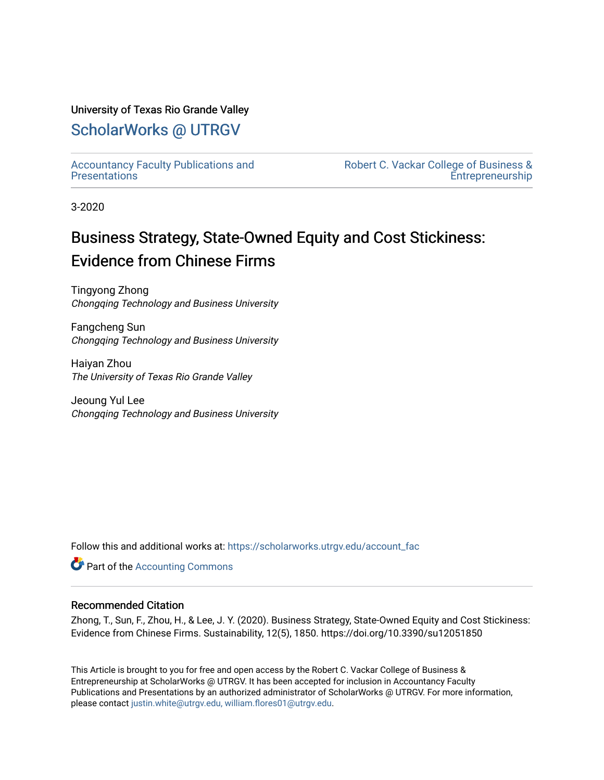# University of Texas Rio Grande Valley

# [ScholarWorks @ UTRGV](https://scholarworks.utrgv.edu/)

[Accountancy Faculty Publications and](https://scholarworks.utrgv.edu/account_fac)  **Presentations** 

[Robert C. Vackar College of Business &](https://scholarworks.utrgv.edu/rcvcbe)  [Entrepreneurship](https://scholarworks.utrgv.edu/rcvcbe) 

3-2020

# Business Strategy, State-Owned Equity and Cost Stickiness: Evidence from Chinese Firms

Tingyong Zhong Chongqing Technology and Business University

Fangcheng Sun Chongqing Technology and Business University

Haiyan Zhou The University of Texas Rio Grande Valley

Jeoung Yul Lee Chongqing Technology and Business University

Follow this and additional works at: [https://scholarworks.utrgv.edu/account\\_fac](https://scholarworks.utrgv.edu/account_fac?utm_source=scholarworks.utrgv.edu%2Faccount_fac%2F1&utm_medium=PDF&utm_campaign=PDFCoverPages)

**Part of the [Accounting Commons](http://network.bepress.com/hgg/discipline/625?utm_source=scholarworks.utrgv.edu%2Faccount_fac%2F1&utm_medium=PDF&utm_campaign=PDFCoverPages)** 

## Recommended Citation

Zhong, T., Sun, F., Zhou, H., & Lee, J. Y. (2020). Business Strategy, State-Owned Equity and Cost Stickiness: Evidence from Chinese Firms. Sustainability, 12(5), 1850. https://doi.org/10.3390/su12051850

This Article is brought to you for free and open access by the Robert C. Vackar College of Business & Entrepreneurship at ScholarWorks @ UTRGV. It has been accepted for inclusion in Accountancy Faculty Publications and Presentations by an authorized administrator of ScholarWorks @ UTRGV. For more information, please contact [justin.white@utrgv.edu, william.flores01@utrgv.edu](mailto:justin.white@utrgv.edu,%20william.flores01@utrgv.edu).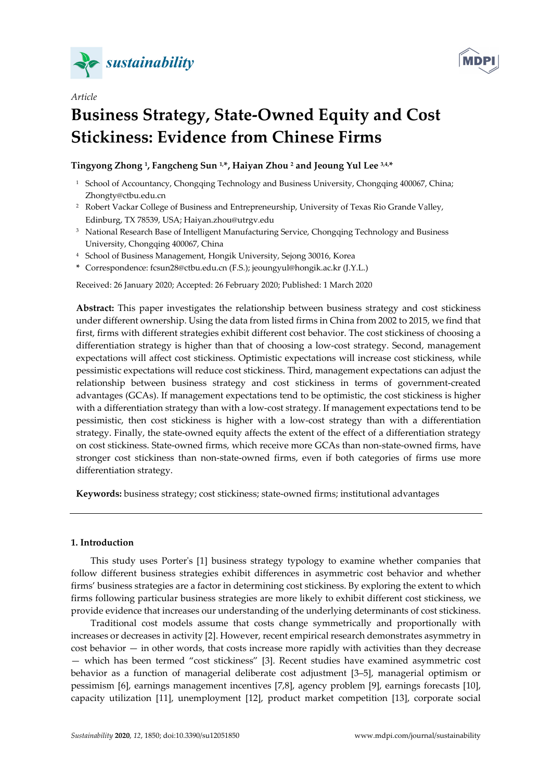

*Article*



# **Business Strategy, State-Owned Equity and Cost Stickiness: Evidence from Chinese Firms**

# **Tingyong Zhong 1, Fangcheng Sun 1,\*, Haiyan Zhou 2 and Jeoung Yul Lee 3,4,\***

- <sup>1</sup> School of Accountancy, Chongqing Technology and Business University, Chongqing 400067, China; Zhongty@ctbu.edu.cn
- 2 Robert Vackar College of Business and Entrepreneurship, University of Texas Rio Grande Valley, Edinburg, TX 78539, USA; Haiyan.zhou@utrgv.edu
- <sup>3</sup> National Research Base of Intelligent Manufacturing Service, Chongqing Technology and Business University, Chongqing 400067, China
- 4 School of Business Management, Hongik University, Sejong 30016, Korea
- **\*** Correspondence: fcsun28@ctbu.edu.cn (F.S.); jeoungyul@hongik.ac.kr (J.Y.L.)

Received: 26 January 2020; Accepted: 26 February 2020; Published: 1 March 2020

**Abstract:** This paper investigates the relationship between business strategy and cost stickiness under different ownership. Using the data from listed firms in China from 2002 to 2015, we find that first, firms with different strategies exhibit different cost behavior. The cost stickiness of choosing a differentiation strategy is higher than that of choosing a low-cost strategy. Second, management expectations will affect cost stickiness. Optimistic expectations will increase cost stickiness, while pessimistic expectations will reduce cost stickiness. Third, management expectations can adjust the relationship between business strategy and cost stickiness in terms of government-created advantages (GCAs). If management expectations tend to be optimistic, the cost stickiness is higher with a differentiation strategy than with a low-cost strategy. If management expectations tend to be pessimistic, then cost stickiness is higher with a low-cost strategy than with a differentiation strategy. Finally, the state-owned equity affects the extent of the effect of a differentiation strategy on cost stickiness. State-owned firms, which receive more GCAs than non-state-owned firms, have stronger cost stickiness than non-state-owned firms, even if both categories of firms use more differentiation strategy.

**Keywords:** business strategy; cost stickiness; state-owned firms; institutional advantages

## **1. Introduction**

This study uses Porter's [1] business strategy typology to examine whether companies that follow different business strategies exhibit differences in asymmetric cost behavior and whether firms' business strategies are a factor in determining cost stickiness. By exploring the extent to which firms following particular business strategies are more likely to exhibit different cost stickiness, we provide evidence that increases our understanding of the underlying determinants of cost stickiness.

Traditional cost models assume that costs change symmetrically and proportionally with increases or decreases in activity [2]. However, recent empirical research demonstrates asymmetry in cost behavior — in other words, that costs increase more rapidly with activities than they decrease — which has been termed "cost stickiness" [3]. Recent studies have examined asymmetric cost behavior as a function of managerial deliberate cost adjustment [3–5], managerial optimism or pessimism [6], earnings management incentives [7,8], agency problem [9], earnings forecasts [10], capacity utilization [11], unemployment [12], product market competition [13], corporate social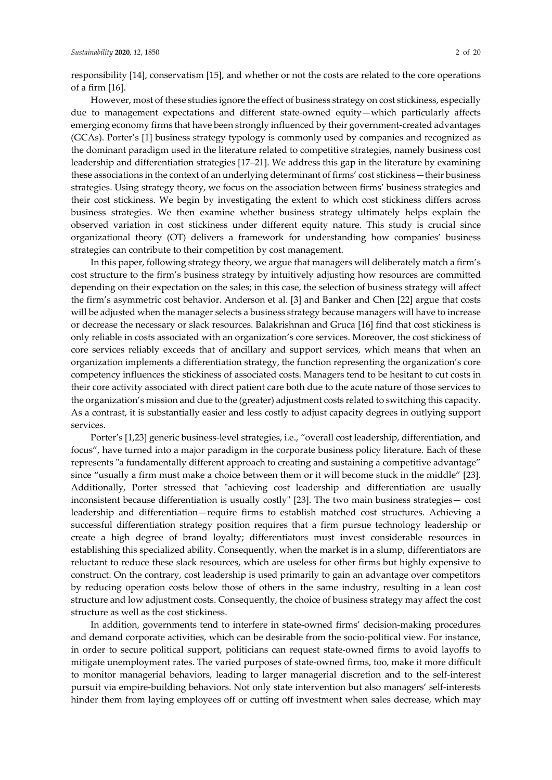responsibility [14], conservatism [15], and whether or not the costs are related to the core operations of a firm [16].

However, most of these studies ignore the effect of business strategy on cost stickiness, especially due to management expectations and different state-owned equity—which particularly affects emerging economy firms that have been strongly influenced by their government-created advantages (GCAs). Porter's [1] business strategy typology is commonly used by companies and recognized as the dominant paradigm used in the literature related to competitive strategies, namely business cost leadership and differentiation strategies [17–21]. We address this gap in the literature by examining these associations in the context of an underlying determinant of firms' cost stickiness—their business strategies. Using strategy theory, we focus on the association between firms' business strategies and their cost stickiness. We begin by investigating the extent to which cost stickiness differs across business strategies. We then examine whether business strategy ultimately helps explain the observed variation in cost stickiness under different equity nature. This study is crucial since organizational theory (OT) delivers a framework for understanding how companies' business strategies can contribute to their competition by cost management.

In this paper, following strategy theory, we argue that managers will deliberately match a firm's cost structure to the firm's business strategy by intuitively adjusting how resources are committed depending on their expectation on the sales; in this case, the selection of business strategy will affect the firm's asymmetric cost behavior. Anderson et al. [3] and Banker and Chen [22] argue that costs will be adjusted when the manager selects a business strategy because managers will have to increase or decrease the necessary or slack resources. Balakrishnan and Gruca [16] find that cost stickiness is only reliable in costs associated with an organization's core services. Moreover, the cost stickiness of core services reliably exceeds that of ancillary and support services, which means that when an organization implements a differentiation strategy, the function representing the organization's core competency influences the stickiness of associated costs. Managers tend to be hesitant to cut costs in their core activity associated with direct patient care both due to the acute nature of those services to the organization's mission and due to the (greater) adjustment costs related to switching this capacity. As a contrast, it is substantially easier and less costly to adjust capacity degrees in outlying support services.

Porter's [1,23] generic business-level strategies, i.e., "overall cost leadership, differentiation, and focus", have turned into a major paradigm in the corporate business policy literature. Each of these represents "a fundamentally different approach to creating and sustaining a competitive advantage" since "usually a firm must make a choice between them or it will become stuck in the middle" [23]. Additionally, Porter stressed that "achieving cost leadership and differentiation are usually inconsistent because differentiation is usually costly" [23]. The two main business strategies— cost leadership and differentiation—require firms to establish matched cost structures. Achieving a successful differentiation strategy position requires that a firm pursue technology leadership or create a high degree of brand loyalty; differentiators must invest considerable resources in establishing this specialized ability. Consequently, when the market is in a slump, differentiators are reluctant to reduce these slack resources, which are useless for other firms but highly expensive to construct. On the contrary, cost leadership is used primarily to gain an advantage over competitors by reducing operation costs below those of others in the same industry, resulting in a lean cost structure and low adjustment costs. Consequently, the choice of business strategy may affect the cost structure as well as the cost stickiness.

In addition, governments tend to interfere in state-owned firms' decision-making procedures and demand corporate activities, which can be desirable from the socio-political view. For instance, in order to secure political support, politicians can request state-owned firms to avoid layoffs to mitigate unemployment rates. The varied purposes of state-owned firms, too, make it more difficult to monitor managerial behaviors, leading to larger managerial discretion and to the self-interest pursuit via empire-building behaviors. Not only state intervention but also managers' self-interests hinder them from laying employees off or cutting off investment when sales decrease, which may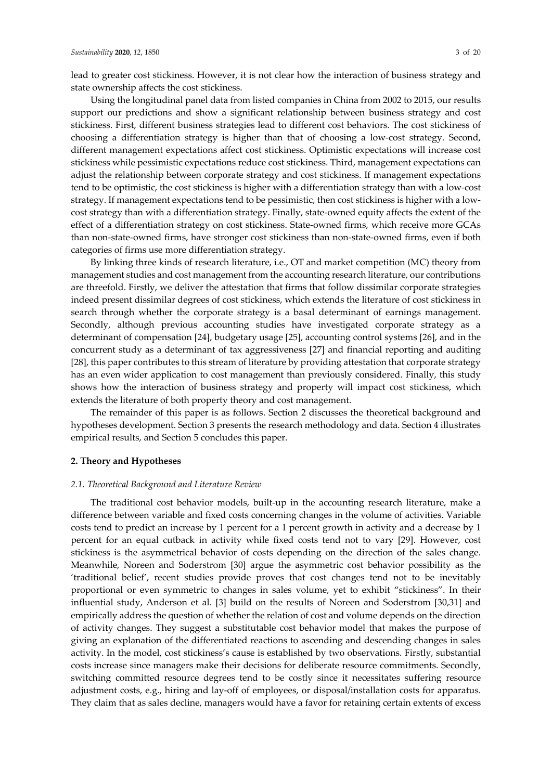lead to greater cost stickiness. However, it is not clear how the interaction of business strategy and state ownership affects the cost stickiness.

Using the longitudinal panel data from listed companies in China from 2002 to 2015, our results support our predictions and show a significant relationship between business strategy and cost stickiness. First, different business strategies lead to different cost behaviors. The cost stickiness of choosing a differentiation strategy is higher than that of choosing a low-cost strategy. Second, different management expectations affect cost stickiness. Optimistic expectations will increase cost stickiness while pessimistic expectations reduce cost stickiness. Third, management expectations can adjust the relationship between corporate strategy and cost stickiness. If management expectations tend to be optimistic, the cost stickiness is higher with a differentiation strategy than with a low-cost strategy. If management expectations tend to be pessimistic, then cost stickiness is higher with a lowcost strategy than with a differentiation strategy. Finally, state-owned equity affects the extent of the effect of a differentiation strategy on cost stickiness. State-owned firms, which receive more GCAs than non-state-owned firms, have stronger cost stickiness than non-state-owned firms, even if both categories of firms use more differentiation strategy.

By linking three kinds of research literature, i.e., OT and market competition (MC) theory from management studies and cost management from the accounting research literature, our contributions are threefold. Firstly, we deliver the attestation that firms that follow dissimilar corporate strategies indeed present dissimilar degrees of cost stickiness, which extends the literature of cost stickiness in search through whether the corporate strategy is a basal determinant of earnings management. Secondly, although previous accounting studies have investigated corporate strategy as a determinant of compensation [24], budgetary usage [25], accounting control systems [26], and in the concurrent study as a determinant of tax aggressiveness [27] and financial reporting and auditing [28], this paper contributes to this stream of literature by providing attestation that corporate strategy has an even wider application to cost management than previously considered. Finally, this study shows how the interaction of business strategy and property will impact cost stickiness, which extends the literature of both property theory and cost management.

The remainder of this paper is as follows. Section 2 discusses the theoretical background and hypotheses development. Section 3 presents the research methodology and data. Section 4 illustrates empirical results, and Section 5 concludes this paper.

#### **2. Theory and Hypotheses**

#### *2.1. Theoretical Background and Literature Review*

The traditional cost behavior models, built-up in the accounting research literature, make a difference between variable and fixed costs concerning changes in the volume of activities. Variable costs tend to predict an increase by 1 percent for a 1 percent growth in activity and a decrease by 1 percent for an equal cutback in activity while fixed costs tend not to vary [29]. However, cost stickiness is the asymmetrical behavior of costs depending on the direction of the sales change. Meanwhile, Noreen and Soderstrom [30] argue the asymmetric cost behavior possibility as the 'traditional belief', recent studies provide proves that cost changes tend not to be inevitably proportional or even symmetric to changes in sales volume, yet to exhibit "stickiness". In their influential study, Anderson et al. [3] build on the results of Noreen and Soderstrom [30,31] and empirically address the question of whether the relation of cost and volume depends on the direction of activity changes. They suggest a substitutable cost behavior model that makes the purpose of giving an explanation of the differentiated reactions to ascending and descending changes in sales activity. In the model, cost stickiness's cause is established by two observations. Firstly, substantial costs increase since managers make their decisions for deliberate resource commitments. Secondly, switching committed resource degrees tend to be costly since it necessitates suffering resource adjustment costs, e.g., hiring and lay-off of employees, or disposal/installation costs for apparatus. They claim that as sales decline, managers would have a favor for retaining certain extents of excess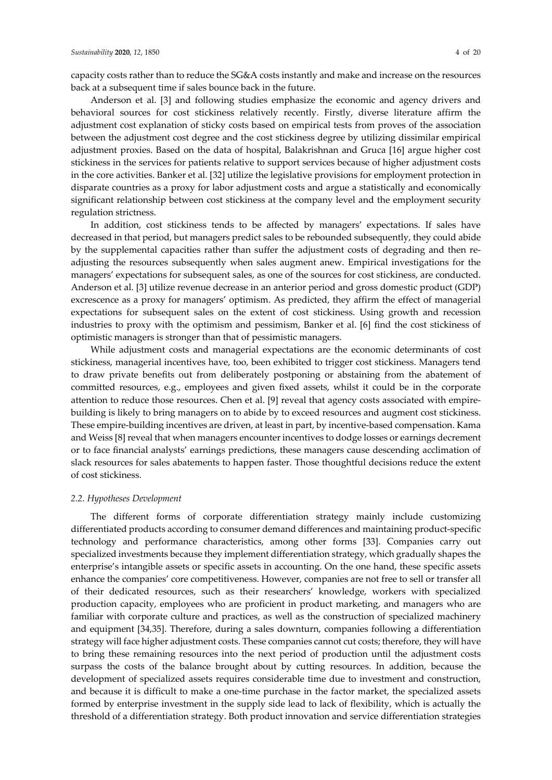capacity costs rather than to reduce the SG&A costs instantly and make and increase on the resources back at a subsequent time if sales bounce back in the future.

Anderson et al. [3] and following studies emphasize the economic and agency drivers and behavioral sources for cost stickiness relatively recently. Firstly, diverse literature affirm the adjustment cost explanation of sticky costs based on empirical tests from proves of the association between the adjustment cost degree and the cost stickiness degree by utilizing dissimilar empirical adjustment proxies. Based on the data of hospital, Balakrishnan and Gruca [16] argue higher cost stickiness in the services for patients relative to support services because of higher adjustment costs in the core activities. Banker et al. [32] utilize the legislative provisions for employment protection in disparate countries as a proxy for labor adjustment costs and argue a statistically and economically significant relationship between cost stickiness at the company level and the employment security regulation strictness.

In addition, cost stickiness tends to be affected by managers' expectations. If sales have decreased in that period, but managers predict sales to be rebounded subsequently, they could abide by the supplemental capacities rather than suffer the adjustment costs of degrading and then readjusting the resources subsequently when sales augment anew. Empirical investigations for the managers' expectations for subsequent sales, as one of the sources for cost stickiness, are conducted. Anderson et al. [3] utilize revenue decrease in an anterior period and gross domestic product (GDP) excrescence as a proxy for managers' optimism. As predicted, they affirm the effect of managerial expectations for subsequent sales on the extent of cost stickiness. Using growth and recession industries to proxy with the optimism and pessimism, Banker et al. [6] find the cost stickiness of optimistic managers is stronger than that of pessimistic managers.

While adjustment costs and managerial expectations are the economic determinants of cost stickiness, managerial incentives have, too, been exhibited to trigger cost stickiness. Managers tend to draw private benefits out from deliberately postponing or abstaining from the abatement of committed resources, e.g., employees and given fixed assets, whilst it could be in the corporate attention to reduce those resources. Chen et al. [9] reveal that agency costs associated with empirebuilding is likely to bring managers on to abide by to exceed resources and augment cost stickiness. These empire-building incentives are driven, at least in part, by incentive-based compensation. Kama and Weiss [8] reveal that when managers encounter incentives to dodge losses or earnings decrement or to face financial analysts' earnings predictions, these managers cause descending acclimation of slack resources for sales abatements to happen faster. Those thoughtful decisions reduce the extent of cost stickiness.

#### *2.2. Hypotheses Development*

The different forms of corporate differentiation strategy mainly include customizing differentiated products according to consumer demand differences and maintaining product-specific technology and performance characteristics, among other forms [33]. Companies carry out specialized investments because they implement differentiation strategy, which gradually shapes the enterprise's intangible assets or specific assets in accounting. On the one hand, these specific assets enhance the companies' core competitiveness. However, companies are not free to sell or transfer all of their dedicated resources, such as their researchers' knowledge, workers with specialized production capacity, employees who are proficient in product marketing, and managers who are familiar with corporate culture and practices, as well as the construction of specialized machinery and equipment [34,35]. Therefore, during a sales downturn, companies following a differentiation strategy will face higher adjustment costs. These companies cannot cut costs; therefore, they will have to bring these remaining resources into the next period of production until the adjustment costs surpass the costs of the balance brought about by cutting resources. In addition, because the development of specialized assets requires considerable time due to investment and construction, and because it is difficult to make a one-time purchase in the factor market, the specialized assets formed by enterprise investment in the supply side lead to lack of flexibility, which is actually the threshold of a differentiation strategy. Both product innovation and service differentiation strategies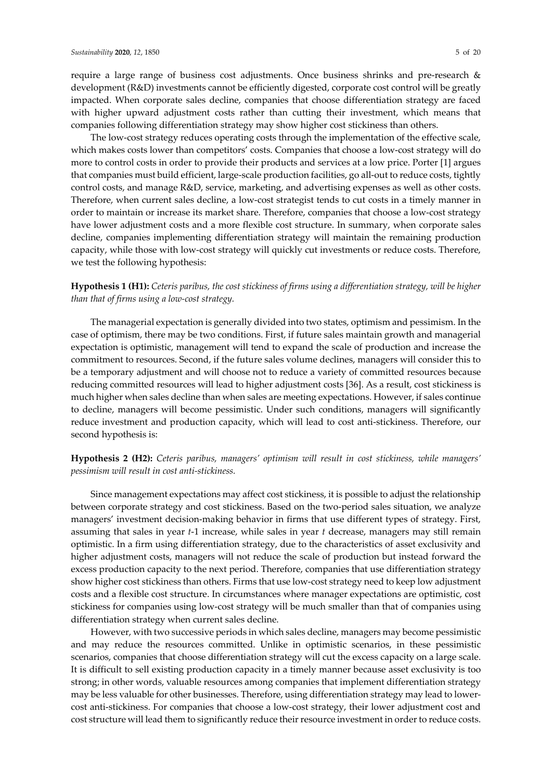require a large range of business cost adjustments. Once business shrinks and pre-research & development (R&D) investments cannot be efficiently digested, corporate cost control will be greatly impacted. When corporate sales decline, companies that choose differentiation strategy are faced with higher upward adjustment costs rather than cutting their investment, which means that companies following differentiation strategy may show higher cost stickiness than others.

The low-cost strategy reduces operating costs through the implementation of the effective scale, which makes costs lower than competitors' costs. Companies that choose a low-cost strategy will do more to control costs in order to provide their products and services at a low price. Porter [1] argues that companies must build efficient, large-scale production facilities, go all-out to reduce costs, tightly control costs, and manage R&D, service, marketing, and advertising expenses as well as other costs. Therefore, when current sales decline, a low-cost strategist tends to cut costs in a timely manner in order to maintain or increase its market share. Therefore, companies that choose a low-cost strategy have lower adjustment costs and a more flexible cost structure. In summary, when corporate sales decline, companies implementing differentiation strategy will maintain the remaining production capacity, while those with low-cost strategy will quickly cut investments or reduce costs. Therefore, we test the following hypothesis:

# **Hypothesis 1 (H1):** *Ceteris paribus, the cost stickiness of firms using a differentiation strategy, will be higher than that of firms using a low-cost strategy.*

The managerial expectation is generally divided into two states, optimism and pessimism. In the case of optimism, there may be two conditions. First, if future sales maintain growth and managerial expectation is optimistic, management will tend to expand the scale of production and increase the commitment to resources. Second, if the future sales volume declines, managers will consider this to be a temporary adjustment and will choose not to reduce a variety of committed resources because reducing committed resources will lead to higher adjustment costs [36]. As a result, cost stickiness is much higher when sales decline than when sales are meeting expectations. However, if sales continue to decline, managers will become pessimistic. Under such conditions, managers will significantly reduce investment and production capacity, which will lead to cost anti-stickiness. Therefore, our second hypothesis is:

# **Hypothesis 2 (H2):** *Ceteris paribus, managers' optimism will result in cost stickiness, while managers' pessimism will result in cost anti-stickiness.*

Since management expectations may affect cost stickiness, it is possible to adjust the relationship between corporate strategy and cost stickiness. Based on the two-period sales situation, we analyze managers' investment decision-making behavior in firms that use different types of strategy. First, assuming that sales in year *t*-1 increase, while sales in year *t* decrease, managers may still remain optimistic. In a firm using differentiation strategy, due to the characteristics of asset exclusivity and higher adjustment costs, managers will not reduce the scale of production but instead forward the excess production capacity to the next period. Therefore, companies that use differentiation strategy show higher cost stickiness than others. Firms that use low-cost strategy need to keep low adjustment costs and a flexible cost structure. In circumstances where manager expectations are optimistic, cost stickiness for companies using low-cost strategy will be much smaller than that of companies using differentiation strategy when current sales decline.

However, with two successive periods in which sales decline, managers may become pessimistic and may reduce the resources committed. Unlike in optimistic scenarios, in these pessimistic scenarios, companies that choose differentiation strategy will cut the excess capacity on a large scale. It is difficult to sell existing production capacity in a timely manner because asset exclusivity is too strong; in other words, valuable resources among companies that implement differentiation strategy may be less valuable for other businesses. Therefore, using differentiation strategy may lead to lowercost anti-stickiness. For companies that choose a low-cost strategy, their lower adjustment cost and cost structure will lead them to significantly reduce their resource investment in order to reduce costs.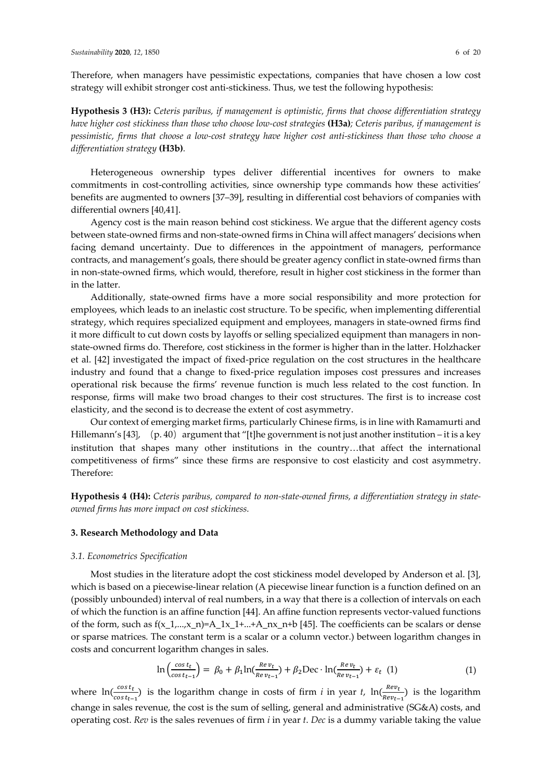Therefore, when managers have pessimistic expectations, companies that have chosen a low cost strategy will exhibit stronger cost anti-stickiness. Thus, we test the following hypothesis:

**Hypothesis 3 (H3):** *Ceteris paribus, if management is optimistic, firms that choose differentiation strategy have higher cost stickiness than those who choose low-cost strategies* **(H3a)***; Ceteris paribus, if management is pessimistic, firms that choose a low-cost strategy have higher cost anti-stickiness than those who choose a differentiation strategy* **(H3b)***.*

Heterogeneous ownership types deliver differential incentives for owners to make commitments in cost-controlling activities, since ownership type commands how these activities' benefits are augmented to owners [37–39], resulting in differential cost behaviors of companies with differential owners [40,41].

Agency cost is the main reason behind cost stickiness. We argue that the different agency costs between state-owned firms and non-state-owned firms in China will affect managers' decisions when facing demand uncertainty. Due to differences in the appointment of managers, performance contracts, and management's goals, there should be greater agency conflict in state-owned firms than in non-state-owned firms, which would, therefore, result in higher cost stickiness in the former than in the latter.

Additionally, state-owned firms have a more social responsibility and more protection for employees, which leads to an inelastic cost structure. To be specific, when implementing differential strategy, which requires specialized equipment and employees, managers in state-owned firms find it more difficult to cut down costs by layoffs or selling specialized equipment than managers in nonstate-owned firms do. Therefore, cost stickiness in the former is higher than in the latter. Holzhacker et al. [42] investigated the impact of fixed-price regulation on the cost structures in the healthcare industry and found that a change to fixed-price regulation imposes cost pressures and increases operational risk because the firms' revenue function is much less related to the cost function. In response, firms will make two broad changes to their cost structures. The first is to increase cost elasticity, and the second is to decrease the extent of cost asymmetry.

Our context of emerging market firms, particularly Chinese firms, is in line with Ramamurti and Hillemann's [43],  $(p. 40)$  argument that "[t]he government is not just another institution – it is a key institution that shapes many other institutions in the country…that affect the international competitiveness of firms" since these firms are responsive to cost elasticity and cost asymmetry. Therefore:

**Hypothesis 4 (H4):** *Ceteris paribus, compared to non-state-owned firms, a differentiation strategy in stateowned firms has more impact on cost stickiness.* 

#### **3. Research Methodology and Data**

#### *3.1. Econometrics Specification*

Most studies in the literature adopt the cost stickiness model developed by Anderson et al. [3], which is based on a piecewise-linear relation (A piecewise linear function is a function defined on an (possibly unbounded) interval of real numbers, in a way that there is a collection of intervals on each of which the function is an affine function [44]. An affine function represents vector-valued functions of the form, such as  $f(x_1,...,x_n)=A_1x_1+...+A_nx_n+b$  [45]. The coefficients can be scalars or dense or sparse matrices. The constant term is a scalar or a column vector.) between logarithm changes in costs and concurrent logarithm changes in sales.

$$
\ln\left(\frac{\cos t_t}{\cos t_{t-1}}\right) = \beta_0 + \beta_1 \ln\left(\frac{Re\,v_t}{Re\,v_{t-1}}\right) + \beta_2 \text{Dec} \cdot \ln\left(\frac{Re\,v_t}{Re\,v_{t-1}}\right) + \varepsilon_t \tag{1}
$$

where  $\ln(\frac{cost_t}{cost_{t-1}})$  is the logarithm change in costs of firm *i* in year *t*,  $\ln(\frac{Rev_t}{Rev_{t-1}})$  is the logarithm change in sales revenue, the cost is the sum of selling, general and administrative (SG&A) costs, and operating cost. *Rev* is the sales revenues of firm *i* in year *t*. *Dec* is a dummy variable taking the value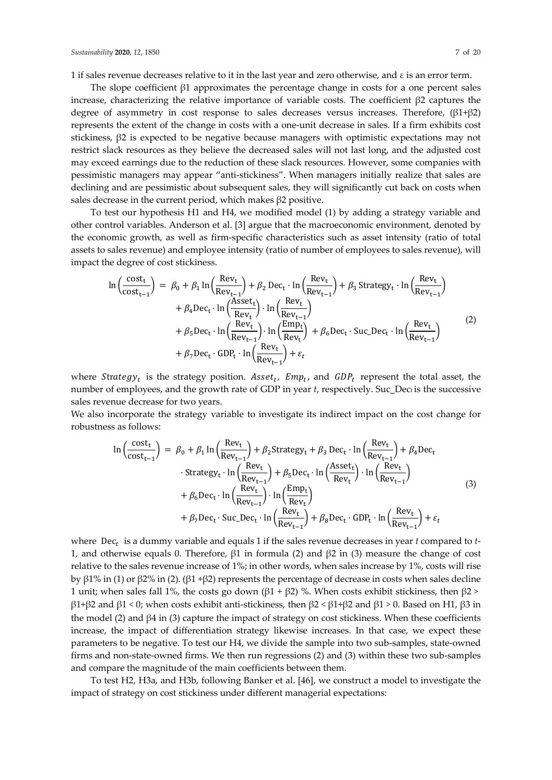The slope coefficient  $\beta$ 1 approximates the percentage change in costs for a one percent sales increase, characterizing the relative importance of variable costs. The coefficient β2 captures the degree of asymmetry in cost response to sales decreases versus increases. Therefore,  $(\beta1+\beta2)$ represents the extent of the change in costs with a one-unit decrease in sales. If a firm exhibits cost stickiness, β2 is expected to be negative because managers with optimistic expectations may not restrict slack resources as they believe the decreased sales will not last long, and the adjusted cost may exceed earnings due to the reduction of these slack resources. However, some companies with pessimistic managers may appear "anti-stickiness". When managers initially realize that sales are declining and are pessimistic about subsequent sales, they will significantly cut back on costs when sales decrease in the current period, which makes β2 positive.

To test our hypothesis H1 and H4, we modified model (1) by adding a strategy variable and other control variables. Anderson et al. [3] argue that the macroeconomic environment, denoted by the economic growth, as well as firm-specific characteristics such as asset intensity (ratio of total assets to sales revenue) and employee intensity (ratio of number of employees to sales revenue), will impact the degree of cost stickiness.

$$
\ln\left(\frac{\text{cost}_{t}}{\text{cost}_{t-1}}\right) = \beta_{0} + \beta_{1} \ln\left(\frac{\text{Rev}_{t}}{\text{Rev}_{t-1}}\right) + \beta_{2} \text{ Dec}_{t} \cdot \ln\left(\frac{\text{Rev}_{t}}{\text{Rev}_{t-1}}\right) + \beta_{3} \text{Strategy}_{t} \cdot \ln\left(\frac{\text{Rev}_{t}}{\text{Rev}_{t-1}}\right) + \beta_{4} \text{Dec}_{t} \cdot \ln\left(\frac{\text{Asset}_{t}}{\text{Rev}_{t}}\right) \cdot \ln\left(\frac{\text{Rev}_{t}}{\text{Rev}_{t-1}}\right) + \beta_{5} \text{Dec}_{t} \cdot \ln\left(\frac{\text{Rev}_{t}}{\text{Rev}_{t-1}}\right) \cdot \ln\left(\frac{\text{Env}_{t}}{\text{Rev}_{t-1}}\right) + \beta_{6} \text{Dec}_{t} \cdot \text{Suc\_Dec}_{t} \cdot \ln\left(\frac{\text{Rev}_{t}}{\text{Rev}_{t-1}}\right) + \beta_{7} \text{Dec}_{t} \cdot \text{GDP}_{t} \cdot \ln\left(\frac{\text{Rev}_{t}}{\text{Rev}_{t-1}}\right) + \varepsilon_{t}
$$
\n(2)

where Strategy<sub>t</sub> is the strategy position.  $\text{Asset}_t$ ,  $\text{Emp}_t$ , and  $\text{GDP}_t$  represent the total asset, the number of employees, and the growth rate of GDP in year *t*, respectively. Suc\_Dect is the successive sales revenue decrease for two years.

We also incorporate the strategy variable to investigate its indirect impact on the cost change for robustness as follows:

$$
\ln\left(\frac{\text{cost}_{t}}{\text{cost}_{t-1}}\right) = \beta_{0} + \beta_{1} \ln\left(\frac{\text{Rev}_{t}}{\text{Rev}_{t-1}}\right) + \beta_{2} \text{Strategy}_{t} + \beta_{3} \text{ Dec}_{t} \cdot \ln\left(\frac{\text{Rev}_{t}}{\text{Rev}_{t-1}}\right) + \beta_{4} \text{Dec}_{t}
$$
  
\n
$$
\cdot \text{Strategy}_{t} \cdot \ln\left(\frac{\text{Rev}_{t}}{\text{Rev}_{t-1}}\right) + \beta_{5} \text{Dec}_{t} \cdot \ln\left(\frac{\text{Asset}_{t}}{\text{Rev}_{t}}\right) \cdot \ln\left(\frac{\text{Rev}_{t}}{\text{Rev}_{t-1}}\right)
$$
  
\n
$$
+ \beta_{6} \text{Dec}_{t} \cdot \ln\left(\frac{\text{Rev}_{t}}{\text{Rev}_{t-1}}\right) \cdot \ln\left(\frac{\text{Emp}_{t}}{\text{Rev}_{t}}\right)
$$
  
\n
$$
+ \beta_{7} \text{Dec}_{t} \cdot \text{Suc\_Dec}_{t} \cdot \ln\left(\frac{\text{Rev}_{t}}{\text{Rev}_{t-1}}\right) + \beta_{8} \text{Dec}_{t} \cdot \text{GDP}_{t} \cdot \ln\left(\frac{\text{Rev}_{t}}{\text{Rev}_{t-1}}\right) + \varepsilon_{t}
$$
  
\n(3)

where  $\text{Dec}_t$  is a dummy variable and equals 1 if the sales revenue decreases in year  $t$  compared to  $t$ -1, and otherwise equals 0. Therefore,  $β1$  in formula (2) and  $β2$  in (3) measure the change of cost relative to the sales revenue increase of 1%; in other words, when sales increase by 1%, costs will rise by β1% in (1) or β2% in (2). (β1 +β2) represents the percentage of decrease in costs when sales decline 1 unit; when sales fall 1%, the costs go down ( $β1 + β2$ ) %. When costs exhibit stickiness, then  $β2$  > β1+β2 and β1 < 0; when costs exhibit anti-stickiness, then  $\beta$ 2 < β1+β2 and β1 > 0. Based on H1, β3 in the model (2) and  $\beta$ 4 in (3) capture the impact of strategy on cost stickiness. When these coefficients increase, the impact of differentiation strategy likewise increases. In that case, we expect these parameters to be negative. To test our H4, we divide the sample into two sub-samples, state-owned firms and non-state-owned firms. We then run regressions (2) and (3) within these two sub-samples and compare the magnitude of the main coefficients between them.

To test H2, H3a, and H3b, following Banker et al. [46], we construct a model to investigate the impact of strategy on cost stickiness under different managerial expectations: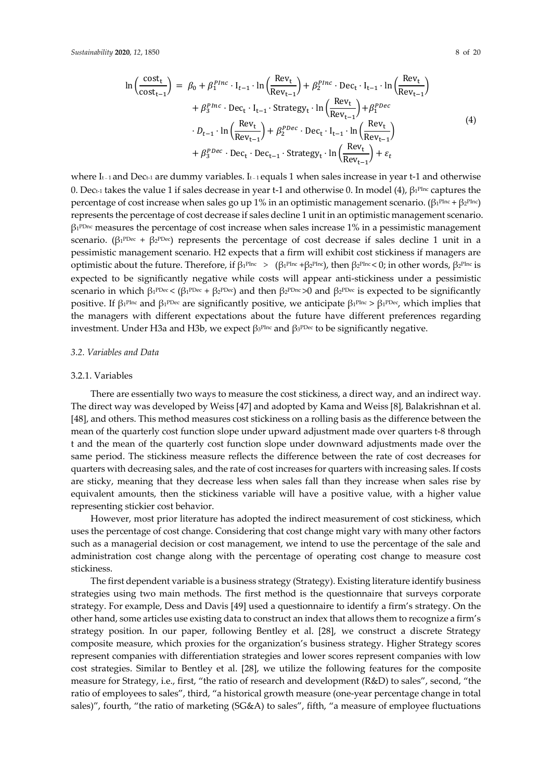$$
\ln\left(\frac{\text{cost}_{t}}{\text{cost}_{t-1}}\right) = \beta_0 + \beta_1^{Phrc} \cdot I_{t-1} \cdot \ln\left(\frac{\text{Rev}_{t}}{\text{Rev}_{t-1}}\right) + \beta_2^{Phrc} \cdot \text{Dec}_{t} \cdot I_{t-1} \cdot \ln\left(\frac{\text{Rev}_{t}}{\text{Rev}_{t-1}}\right) + \beta_3^{Phrc} \cdot \text{Dec}_{t} \cdot I_{t-1} \cdot \text{Strategy}_{t} \cdot \ln\left(\frac{\text{Rev}_{t}}{\text{Rev}_{t-1}}\right) + \beta_1^{PDec}
$$
  

$$
\cdot D_{t-1} \cdot \ln\left(\frac{\text{Rev}_{t}}{\text{Rev}_{t-1}}\right) + \beta_2^{PDec} \cdot \text{Dec}_{t} \cdot I_{t-1} \cdot \ln\left(\frac{\text{Rev}_{t}}{\text{Rev}_{t-1}}\right) + \beta_3^{PDec} \cdot \text{Dec}_{t} \cdot \text{Dec}_{t-1} \cdot \text{Strategy}_{t} \cdot \ln\left(\frac{\text{Rev}_{t}}{\text{Rev}_{t-1}}\right) + \varepsilon_t
$$
  
(4)

where I<sub>t-1</sub> and Dec<sub>t-1</sub> are dummy variables. I<sub>t-1</sub> equals 1 when sales increase in year t-1 and otherwise 0. Dec<sub>t-1</sub> takes the value 1 if sales decrease in year t-1 and otherwise 0. In model (4),  $β_1$ <sup>pInc</sup> captures the percentage of cost increase when sales go up 1% in an optimistic management scenario. (β<sub>1</sub>PInc + β<sub>2</sub>PInc) represents the percentage of cost decrease if sales decline 1 unit in an optimistic management scenario.  $\beta_1^{\text{PDnc}}$  measures the percentage of cost increase when sales increase 1% in a pessimistic management scenario. ( $\beta_1$ <sup>PDec</sup> +  $\beta_2$ <sup>PDec</sup>) represents the percentage of cost decrease if sales decline 1 unit in a pessimistic management scenario. H2 expects that a firm will exhibit cost stickiness if managers are optimistic about the future. Therefore, if  $\beta_1$ <sup>PInc</sup> > ( $\beta_1$ <sup>PInc</sup> + $\beta_2$ <sup>PInc</sup>), then  $\beta_2$ <sup>PInc</sup> < 0; in other words,  $\beta_2$ <sup>PInc</sup> is expected to be significantly negative while costs will appear anti-stickiness under a pessimistic scenario in which  $\beta_1^{\text{pDec}} < (\beta_1^{\text{pDec}} + \beta_2^{\text{pDec}})$  and then  $\beta_2^{\text{pDec}} > 0$  and  $\beta_2^{\text{pDec}}$  is expected to be significantly positive. If  $\beta_1^{\text{PInc}}$  and  $\beta_1^{\text{PDec}}$  are significantly positive, we anticipate  $\beta_1^{\text{PInc}} > \beta_1^{\text{PDec}}$ , which implies that the managers with different expectations about the future have different preferences regarding investment. Under H3a and H3b, we expect  $β_3$ <sup>PInc</sup> and  $β_3$ <sup>PDec</sup> to be significantly negative.

#### *3.2. Variables and Data*

#### 3.2.1. Variables

There are essentially two ways to measure the cost stickiness, a direct way, and an indirect way. The direct way was developed by Weiss [47] and adopted by Kama and Weiss [8], Balakrishnan et al. [48], and others. This method measures cost stickiness on a rolling basis as the difference between the mean of the quarterly cost function slope under upward adjustment made over quarters t-8 through t and the mean of the quarterly cost function slope under downward adjustments made over the same period. The stickiness measure reflects the difference between the rate of cost decreases for quarters with decreasing sales, and the rate of cost increases for quarters with increasing sales. If costs are sticky, meaning that they decrease less when sales fall than they increase when sales rise by equivalent amounts, then the stickiness variable will have a positive value, with a higher value representing stickier cost behavior.

However, most prior literature has adopted the indirect measurement of cost stickiness, which uses the percentage of cost change. Considering that cost change might vary with many other factors such as a managerial decision or cost management, we intend to use the percentage of the sale and administration cost change along with the percentage of operating cost change to measure cost stickiness.

The first dependent variable is a business strategy (Strategy). Existing literature identify business strategies using two main methods. The first method is the questionnaire that surveys corporate strategy. For example, Dess and Davis [49] used a questionnaire to identify a firm's strategy. On the other hand, some articles use existing data to construct an index that allows them to recognize a firm's strategy position. In our paper, following Bentley et al. [28], we construct a discrete Strategy composite measure, which proxies for the organization's business strategy. Higher Strategy scores represent companies with differentiation strategies and lower scores represent companies with low cost strategies. Similar to Bentley et al. [28], we utilize the following features for the composite measure for Strategy, i.e., first, "the ratio of research and development (R&D) to sales", second, "the ratio of employees to sales", third, "a historical growth measure (one-year percentage change in total sales)", fourth, "the ratio of marketing (SG&A) to sales", fifth, "a measure of employee fluctuations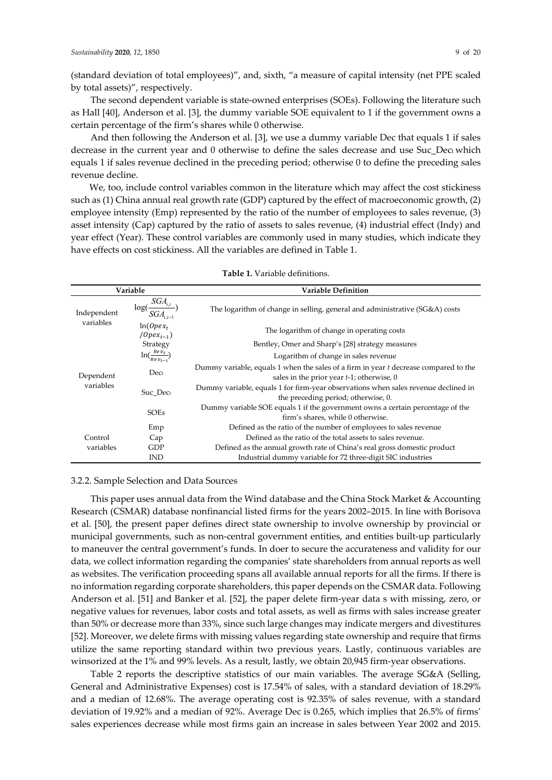(standard deviation of total employees)", and, sixth, "a measure of capital intensity (net PPE scaled by total assets)", respectively.

The second dependent variable is state-owned enterprises (SOEs). Following the literature such as Hall [40], Anderson et al. [3], the dummy variable SOE equivalent to 1 if the government owns a certain percentage of the firm's shares while 0 otherwise.

And then following the Anderson et al. [3], we use a dummy variable Dec that equals 1 if sales decrease in the current year and 0 otherwise to define the sales decrease and use Suc\_Dect which equals 1 if sales revenue declined in the preceding period; otherwise 0 to define the preceding sales revenue decline.

We, too, include control variables common in the literature which may affect the cost stickiness such as (1) China annual real growth rate (GDP) captured by the effect of macroeconomic growth, (2) employee intensity (Emp) represented by the ratio of the number of employees to sales revenue, (3) asset intensity (Cap) captured by the ratio of assets to sales revenue, (4) industrial effect (Indy) and year effect (Year). These control variables are commonly used in many studies, which indicate they have effects on cost stickiness. All the variables are defined in Table 1.

| Variable               |                                                  | <b>Variable Definition</b>                                                                                                           |  |  |
|------------------------|--------------------------------------------------|--------------------------------------------------------------------------------------------------------------------------------------|--|--|
| Independent            | $SGA_{\mathrm{i},t}$<br>$log(-)$<br>$SGA_{i,t-}$ | The logarithm of change in selling, general and administrative (SG&A) costs                                                          |  |  |
| variables              | $ln(Opex_t)$<br>$\langle$ Opex <sub>t-1</sub> )  | The logarithm of change in operating costs                                                                                           |  |  |
|                        | Strategy                                         | Bentley, Omer and Sharp's [28] strategy measures                                                                                     |  |  |
| Dependent<br>variables | $\ln(\frac{Re v_t}{Re v_{t-1}})$                 | Logarithm of change in sales revenue                                                                                                 |  |  |
|                        | Dect                                             | Dummy variable, equals 1 when the sales of a firm in year t decrease compared to the<br>sales in the prior year $t-1$ ; otherwise, 0 |  |  |
|                        | Suc Dect                                         | Dummy variable, equals 1 for firm-year observations when sales revenue declined in<br>the preceding period; otherwise, 0.            |  |  |
|                        | <b>SOEs</b>                                      | Dummy variable SOE equals 1 if the government owns a certain percentage of the<br>firm's shares, while 0 otherwise.                  |  |  |
|                        | Emp                                              | Defined as the ratio of the number of employees to sales revenue                                                                     |  |  |
| Control                | Cap                                              | Defined as the ratio of the total assets to sales revenue.                                                                           |  |  |
| variables              | GDP                                              | Defined as the annual growth rate of China's real gross domestic product                                                             |  |  |
|                        | <b>IND</b>                                       | Industrial dummy variable for 72 three-digit SIC industries                                                                          |  |  |

**Table 1.** Variable definitions.

#### 3.2.2. Sample Selection and Data Sources

This paper uses annual data from the Wind database and the China Stock Market & Accounting Research (CSMAR) database nonfinancial listed firms for the years 2002–2015. In line with Borisova et al. [50], the present paper defines direct state ownership to involve ownership by provincial or municipal governments, such as non-central government entities, and entities built-up particularly to maneuver the central government's funds. In doer to secure the accurateness and validity for our data, we collect information regarding the companies' state shareholders from annual reports as well as websites. The verification proceeding spans all available annual reports for all the firms. If there is no information regarding corporate shareholders, this paper depends on the CSMAR data. Following Anderson et al. [51] and Banker et al. [52], the paper delete firm-year data s with missing, zero, or negative values for revenues, labor costs and total assets, as well as firms with sales increase greater than 50% or decrease more than 33%, since such large changes may indicate mergers and divestitures [52]. Moreover, we delete firms with missing values regarding state ownership and require that firms utilize the same reporting standard within two previous years. Lastly, continuous variables are winsorized at the 1% and 99% levels. As a result, lastly, we obtain 20,945 firm-year observations.

Table 2 reports the descriptive statistics of our main variables. The average SG&A (Selling, General and Administrative Expenses) cost is 17.54% of sales, with a standard deviation of 18.29% and a median of 12.68%. The average operating cost is 92.35% of sales revenue, with a standard deviation of 19.92% and a median of 92%. Average Dec is 0.265, which implies that 26.5% of firms' sales experiences decrease while most firms gain an increase in sales between Year 2002 and 2015.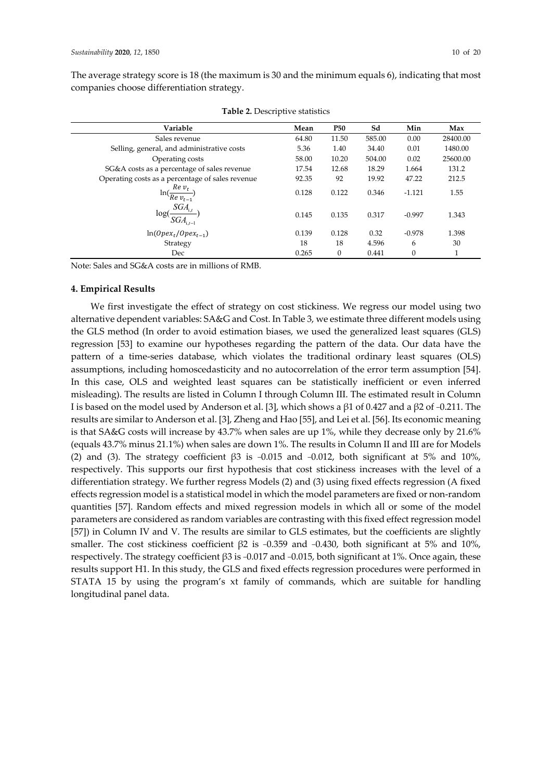The average strategy score is 18 (the maximum is 30 and the minimum equals 6), indicating that most companies choose differentiation strategy.

| Variable                                         | Mean  | <b>P50</b> | Sd     | Min      | Max      |
|--------------------------------------------------|-------|------------|--------|----------|----------|
| Sales revenue                                    | 64.80 | 11.50      | 585.00 | 0.00     | 28400.00 |
| Selling, general, and administrative costs       | 5.36  | 1.40       | 34.40  | 0.01     | 1480.00  |
| Operating costs                                  | 58.00 | 10.20      | 504.00 | 0.02     | 25600.00 |
| SG&A costs as a percentage of sales revenue      | 17.54 | 12.68      | 18.29  | 1.664    | 131.2    |
| Operating costs as a percentage of sales revenue | 92.35 | 92         | 19.92  | 47.22    | 212.5    |
| $Re v_t$<br>$\ln(\frac{1}{Re}v_{t-1})$           | 0.128 | 0.122      | 0.346  | $-1.121$ | 1.55     |
| $SGA_{i,t}$<br>log(<br>$SGA_{\text{i},t-1}$      | 0.145 | 0.135      | 0.317  | $-0.997$ | 1.343    |
| $ln(Opex_t/Opex_{t-1})$                          | 0.139 | 0.128      | 0.32   | $-0.978$ | 1.398    |
| Strategy                                         | 18    | 18         | 4.596  | 6        | 30       |
| Dec                                              | 0.265 | $\Omega$   | 0.441  | $\theta$ | 1        |

**Table 2.** Descriptive statistics

Note: Sales and SG&A costs are in millions of RMB.

#### **4. Empirical Results**

We first investigate the effect of strategy on cost stickiness. We regress our model using two alternative dependent variables: SA&G and Cost. In Table 3, we estimate three different models using the GLS method (In order to avoid estimation biases, we used the generalized least squares (GLS) regression [53] to examine our hypotheses regarding the pattern of the data. Our data have the pattern of a time-series database, which violates the traditional ordinary least squares (OLS) assumptions, including homoscedasticity and no autocorrelation of the error term assumption [54]. In this case, OLS and weighted least squares can be statistically inefficient or even inferred misleading). The results are listed in Column I through Column III. The estimated result in Column I is based on the model used by Anderson et al. [3], which shows a β1 of 0.427 and a β2 of −0.211. The results are similar to Anderson et al. [3], Zheng and Hao [55], and Lei et al. [56]. Its economic meaning is that SA&G costs will increase by 43.7% when sales are up 1%, while they decrease only by 21.6% (equals 43.7% minus 21.1%) when sales are down 1%. The results in Column II and III are for Models (2) and (3). The strategy coefficient  $\beta$ 3 is -0.015 and -0.012, both significant at 5% and 10%, respectively. This supports our first hypothesis that cost stickiness increases with the level of a differentiation strategy. We further regress Models (2) and (3) using fixed effects regression (A fixed effects regression model is a statistical model in which the model parameters are fixed or non-random quantities [57]. Random effects and mixed regression models in which all or some of the model parameters are considered as random variables are contrasting with this fixed effect regression model [57]) in Column IV and V. The results are similar to GLS estimates, but the coefficients are slightly smaller. The cost stickiness coefficient β2 is -0.359 and -0.430, both significant at 5% and 10%, respectively. The strategy coefficient β3 is −0.017 and −0.015, both significant at 1%. Once again, these results support H1. In this study, the GLS and fixed effects regression procedures were performed in STATA 15 by using the program's xt family of commands, which are suitable for handling longitudinal panel data.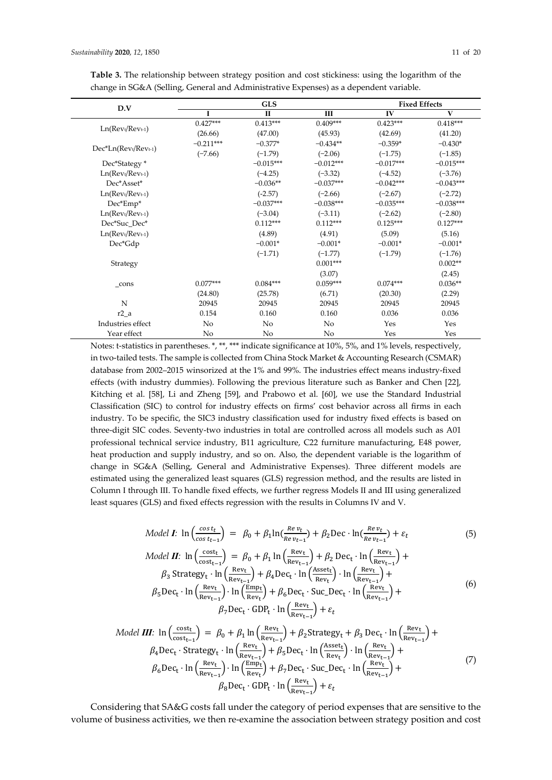| D.V                 |             | <b>GLS</b>   |             |             | <b>Fixed Effects</b> |  |  |
|---------------------|-------------|--------------|-------------|-------------|----------------------|--|--|
|                     |             | $\mathbf{I}$ | Ш           | IV          | $\mathbf{V}$         |  |  |
|                     | $0.427***$  | $0.413***$   | $0.409***$  | $0.423***$  | $0.418***$           |  |  |
| $Ln(Revt/Revt-1)$   | (26.66)     | (47.00)      | (45.93)     | (42.69)     | (41.20)              |  |  |
|                     | $-0.211***$ | $-0.377*$    | $-0.434**$  | $-0.359*$   | $-0.430*$            |  |  |
| Dec*Ln(Revt/Revt-1) | $(-7.66)$   | $(-1.79)$    | $(-2.06)$   | $(-1.75)$   | $(-1.85)$            |  |  |
| Dec*Stategy *       |             | $-0.015***$  | $-0.012***$ | $-0.017***$ | $-0.015***$          |  |  |
| $Ln(Revt/Revt-1)$   |             | $(-4.25)$    | $(-3.32)$   | $(-4.52)$   | $(-3.76)$            |  |  |
| Dec*Asset*          |             | $-0.036**$   | $-0.037***$ | $-0.042***$ | $-0.043***$          |  |  |
| $Ln(Revt/Revt-1)$   |             | $(-2.57)$    | $(-2.66)$   | $(-2.67)$   | $(-2.72)$            |  |  |
| Dec*Emp*            |             | $-0.037***$  | $-0.038***$ | $-0.035***$ | $-0.038***$          |  |  |
| $Ln(Revt/Revt-1)$   |             | $(-3.04)$    | $(-3.11)$   | $(-2.62)$   | $(-2.80)$            |  |  |
| Dec*Suc_Dec*        |             | $0.112***$   | $0.112***$  | $0.125***$  | $0.127***$           |  |  |
| $Ln(Revt/Revt-1)$   |             | (4.89)       | (4.91)      | (5.09)      | (5.16)               |  |  |
| Dec*Gdp             |             | $-0.001*$    | $-0.001*$   | $-0.001*$   | $-0.001*$            |  |  |
|                     |             | $(-1.71)$    | $(-1.77)$   | $(-1.79)$   | $(-1.76)$            |  |  |
| Strategy            |             |              | $0.001***$  |             | $0.002**$            |  |  |
|                     |             |              | (3.07)      |             | (2.45)               |  |  |
| $_{\rm cons}$       | $0.077***$  | $0.084***$   | $0.059***$  | $0.074***$  | $0.036**$            |  |  |
|                     | (24.80)     | (25.78)      | (6.71)      | (20.30)     | (2.29)               |  |  |
| N                   | 20945       | 20945        | 20945       | 20945       | 20945                |  |  |
| $r2_a$              | 0.154       | 0.160        | 0.160       | 0.036       | 0.036                |  |  |
| Industries effect   | No          | No           | No          | Yes         | Yes                  |  |  |
| Year effect         | No          | No           | No          | Yes         | Yes                  |  |  |

**Table 3.** The relationship between strategy position and cost stickiness: using the logarithm of the change in SG&A (Selling, General and Administrative Expenses) as a dependent variable.

Notes: t-statistics in parentheses. \*, \*\*, \*\*\* indicate significance at 10%, 5%, and 1% levels, respectively, in two-tailed tests. The sample is collected from China Stock Market & Accounting Research (CSMAR) database from 2002–2015 winsorized at the 1% and 99%. The industries effect means industry-fixed effects (with industry dummies). Following the previous literature such as Banker and Chen [22], Kitching et al. [58], Li and Zheng [59], and Prabowo et al. [60], we use the Standard Industrial Classification (SIC) to control for industry effects on firms' cost behavior across all firms in each industry. To be specific, the SIC3 industry classification used for industry fixed effects is based on three-digit SIC codes. Seventy-two industries in total are controlled across all models such as A01 professional technical service industry, B11 agriculture, C22 furniture manufacturing, E48 power, heat production and supply industry, and so on. Also, the dependent variable is the logarithm of change in SG&A (Selling, General and Administrative Expenses). Three different models are estimated using the generalized least squares (GLS) regression method, and the results are listed in Column Ⅰ through Ⅲ. To handle fixed effects, we further regress Models Ⅱ and III using generalized least squares (GLS) and fixed effects regression with the results in Columns Ⅳ and Ⅴ.

Model **I**: 
$$
\ln \left( \frac{\cos t_t}{\cos t_{t-1}} \right) = \beta_0 + \beta_1 \ln \left( \frac{Re \, v_t}{Re \, v_{t-1}} \right) + \beta_2 \operatorname{Dec} \cdot \ln \left( \frac{Re \, v_t}{Re \, v_{t-1}} \right) + \varepsilon_t \tag{5}
$$

$$
\text{Model II: } \ln\left(\frac{\text{cost}_{t}}{\text{cost}_{t-1}}\right) = \beta_0 + \beta_1 \ln\left(\frac{\text{Rev}_{t}}{\text{Rev}_{t-1}}\right) + \beta_2 \text{ Dec}_{t} \cdot \ln\left(\frac{\text{Rev}_{t}}{\text{Rev}_{t-1}}\right) + \beta_3 \text{Strategy}_{t} \cdot \ln\left(\frac{\text{Rev}_{t}}{\text{Rev}_{t-1}}\right) + \beta_4 \text{Dec}_{t} \cdot \ln\left(\frac{\text{Aset}_{t}}{\text{Rev}_{t}}\right) \cdot \ln\left(\frac{\text{Rev}_{t}}{\text{Rev}_{t-1}}\right) + \beta_5 \text{Dec}_{t} \cdot \ln\left(\frac{\text{Rev}_{t}}{\text{Rev}_{t-1}}\right) + \beta_6 \text{Dec}_{t} \cdot \text{Suc\_Dec}_{t} \cdot \ln\left(\frac{\text{Rev}_{t}}{\text{Rev}_{t-1}}\right) + \beta_7 \text{Dec}_{t} \cdot \text{GDP}_{t} \cdot \ln\left(\frac{\text{Rev}_{t}}{\text{Rev}_{t-1}}\right) + \varepsilon_t \tag{6}
$$

Model III: 
$$
\ln\left(\frac{\text{cost}_{t}}{\text{cost}_{t-1}}\right) = \beta_0 + \beta_1 \ln\left(\frac{\text{Rev}_{t}}{\text{Rev}_{t-1}}\right) + \beta_2 \text{Strategy}_{t} + \beta_3 \text{ Dec}_{t} \cdot \ln\left(\frac{\text{Rev}_{t}}{\text{Rev}_{t-1}}\right) + \beta_4 \text{Dec}_{t} \cdot \text{Strategy}_{t} \cdot \ln\left(\frac{\text{Rev}_{t}}{\text{Rev}_{t-1}}\right) + \beta_5 \text{Dec}_{t} \cdot \ln\left(\frac{\text{Asev}_{t}}{\text{Rev}_{t}}\right) \cdot \ln\left(\frac{\text{Rev}_{t}}{\text{Rev}_{t-1}}\right) + \beta_6 \text{Dec}_{t} \cdot \ln\left(\frac{\text{Rev}_{t}}{\text{Rev}_{t}}\right) + \beta_7 \text{Dec}_{t} \cdot \text{Suc\_Dec}_{t} \cdot \ln\left(\frac{\text{Rev}_{t}}{\text{Rev}_{t-1}}\right) + \beta_8 \text{Dec}_{t} \cdot \text{GDP}_{t} \cdot \ln\left(\frac{\text{Rev}_{t}}{\text{Rev}_{t-1}}\right) + \epsilon_t
$$
 (7)

Considering that SA&G costs fall under the category of period expenses that are sensitive to the volume of business activities, we then re-examine the association between strategy position and cost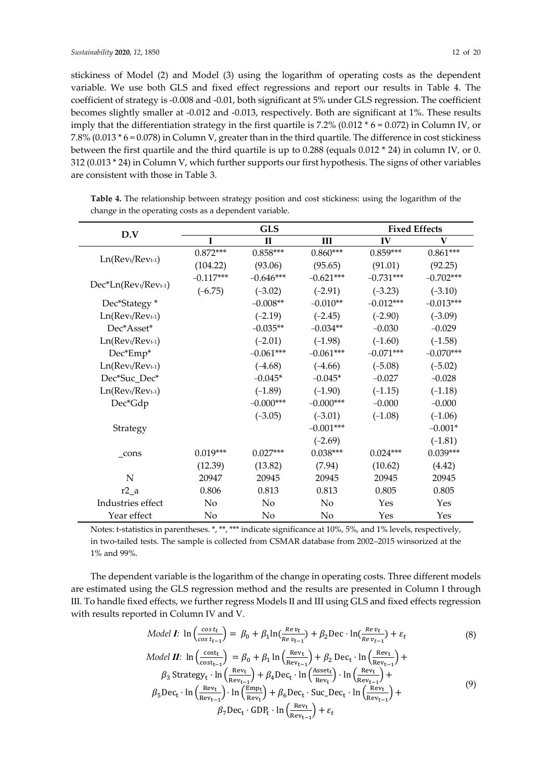stickiness of Model (2) and Model (3) using the logarithm of operating costs as the dependent variable. We use both GLS and fixed effect regressions and report our results in Table 4. The coefficient of strategy is -0.008 and -0.01, both significant at 5% under GLS regression. The coefficient becomes slightly smaller at -0.012 and -0.013, respectively. Both are significant at 1%. These results imply that the differentiation strategy in the first quartile is 7.2% (0.012  $*$  6 = 0.072) in Column IV, or 7.8% (0.013 \* 6 = 0.078) in Column Ⅴ, greater than in the third quartile. The difference in cost stickiness between the first quartile and the third quartile is up to 0.288 (equals 0.012 \* 24) in column Ⅳ, or 0. 312 (0.013 \* 24) in Column V, which further supports our first hypothesis. The signs of other variables are consistent with those in Table 3.

**Table 4.** The relationship between strategy position and cost stickiness: using the logarithm of the change in the operating costs as a dependent variable.

| D.V                  |             | <b>GLS</b>     | <b>Fixed Effects</b> |             |             |
|----------------------|-------------|----------------|----------------------|-------------|-------------|
|                      | $\mathbf I$ | $\Pi$          | Ш                    | IV          | V           |
|                      | $0.872***$  | $0.858***$     | $0.860***$           | $0.859***$  | $0.861***$  |
| $Ln(Revt/Revt-1)$    | (104.22)    | (93.06)        | (95.65)              | (91.01)     | (92.25)     |
|                      | $-0.117***$ | $-0.646***$    | $-0.621***$          | $-0.731***$ | $-0.702***$ |
| Dec*Ln(Revt/Revt-1)  | $(-6.75)$   | $(-3.02)$      | $(-2.91)$            | $(-3.23)$   | $(-3.10)$   |
| Dec*Stategy *        |             | $-0.008**$     | $-0.010**$           | $-0.012***$ | $-0.013***$ |
| $Ln(Revt/Revt-1)$    |             | $(-2.19)$      | $(-2.45)$            | $(-2.90)$   | $(-3.09)$   |
| Dec*Asset*           |             | $-0.035**$     | $-0.034**$           | $-0.030$    | $-0.029$    |
| $Ln(Revt/Revt-1)$    |             | $(-2.01)$      | $(-1.98)$            | $(-1.60)$   | $(-1.58)$   |
| Dec*Emp*             |             | $-0.061***$    | $-0.061***$          | $-0.071***$ | $-0.070***$ |
| $Ln(Revt/Revt-1)$    |             | $(-4.68)$      | $(-4.66)$            | $(-5.08)$   | $(-5.02)$   |
| Dec*Suc_Dec*         |             | $-0.045*$      | $-0.045*$            | $-0.027$    | $-0.028$    |
| $Ln(Rev t/ Rev t-1)$ |             | $(-1.89)$      | $(-1.90)$            | $(-1.15)$   | $(-1.18)$   |
| Dec*Gdp              |             | $-0.000***$    | $-0.000***$          | $-0.000$    | $-0.000$    |
|                      |             | $(-3.05)$      | $(-3.01)$            | $(-1.08)$   | $(-1.06)$   |
| Strategy             |             |                | $-0.001***$          |             | $-0.001*$   |
|                      |             |                | $(-2.69)$            |             | $(-1.81)$   |
| cons                 | $0.019***$  | $0.027***$     | $0.038***$           | $0.024***$  | $0.039***$  |
|                      | (12.39)     | (13.82)        | (7.94)               | (10.62)     | (4.42)      |
| ${\bf N}$            | 20947       | 20945          | 20945                | 20945       | 20945       |
| $r2_a$               | 0.806       | 0.813          | 0.813                | 0.805       | 0.805       |
| Industries effect    | No          | N <sub>o</sub> | No                   | Yes         | Yes         |
| Year effect          | No          | No             | No                   | Yes         | Yes         |

Notes: t-statistics in parentheses. \*, \*\*, \*\*\* indicate significance at 10%, 5%, and 1% levels, respectively, in two-tailed tests. The sample is collected from CSMAR database from 2002–2015 winsorized at the 1% and 99%.

The dependent variable is the logarithm of the change in operating costs. Three different models are estimated using the GLS regression method and the results are presented in Column Ⅰ through Ⅲ. To handle fixed effects, we further regress Models Ⅱ and III using GLS and fixed effects regression with results reported in Column Ⅳ and Ⅴ.

$$
Model \ L: \ \ln\left(\frac{\cos t_t}{\cos t_{t-1}}\right) = \ \beta_0 + \beta_1 \ln\left(\frac{Re \ v_t}{Re \ v_{t-1}}\right) + \beta_2 \text{Dec} \cdot \ln\left(\frac{Re \ v_t}{Re \ v_{t-1}}\right) + \varepsilon_t \tag{8}
$$

Model II: 
$$
\ln\left(\frac{\text{cost}_{t}}{\text{cost}_{t-1}}\right) = \beta_0 + \beta_1 \ln\left(\frac{\text{Rev}_{t}}{\text{Rev}_{t-1}}\right) + \beta_2 \text{ Dec}_{t} \cdot \ln\left(\frac{\text{Rev}_{t}}{\text{Rev}_{t-1}}\right) + \beta_3 \text{ Strategy}_{t} \cdot \ln\left(\frac{\text{Rev}_{t}}{\text{Rev}_{t-1}}\right) + \beta_4 \text{Dec}_{t} \cdot \ln\left(\frac{\text{Asev}_{t}}{\text{Rev}_{t}}\right) \cdot \ln\left(\frac{\text{Rev}_{t}}{\text{Rev}_{t-1}}\right) + \beta_5 \text{Dec}_{t} \cdot \ln\left(\frac{\text{Rev}_{t}}{\text{Rev}_{t-1}}\right) + \beta_6 \text{Dec}_{t} \cdot \text{Suc}_{t} \cdot \ln\left(\frac{\text{Rev}_{t}}{\text{Rev}_{t-1}}\right) + \beta_7 \text{Dec}_{t} \cdot \text{GDP}_{t} \cdot \ln\left(\frac{\text{Rev}_{t}}{\text{Rev}_{t-1}}\right) + \varepsilon_t
$$
\n(9)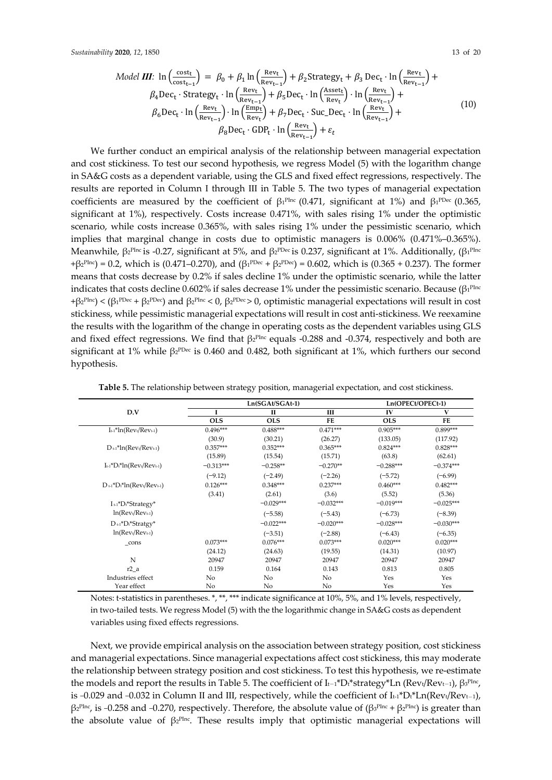Model III: 
$$
\ln\left(\frac{\text{cost}_{t}}{\text{cost}_{t-1}}\right) = \beta_0 + \beta_1 \ln\left(\frac{\text{Rev}_{t}}{\text{Rev}_{t-1}}\right) + \beta_2 \text{Strategy}_{t} + \beta_3 \text{ Dec}_{t} \cdot \ln\left(\frac{\text{Rev}_{t}}{\text{Rev}_{t-1}}\right) + \beta_4 \text{Dec}_{t} \cdot \text{Strategy}_{t} \cdot \ln\left(\frac{\text{Rev}_{t}}{\text{Rev}_{t-1}}\right) + \beta_5 \text{Dec}_{t} \cdot \ln\left(\frac{\text{Asev}_{t}}{\text{Rev}_{t}}\right) \cdot \ln\left(\frac{\text{Rev}_{t}}{\text{Rev}_{t-1}}\right) + \beta_6 \text{Dec}_{t} \cdot \ln\left(\frac{\text{Rev}_{t}}{\text{Rev}_{t}}\right) + \beta_7 \text{Dec}_{t} \cdot \text{Suc\_Dec}_{t} \cdot \ln\left(\frac{\text{Rev}_{t}}{\text{Rev}_{t-1}}\right) + \beta_8 \text{Dec}_{t} \cdot \text{GDP}_{t} \cdot \ln\left(\frac{\text{Rev}_{t}}{\text{Rev}_{t-1}}\right) + \epsilon_t
$$
\n(10)

We further conduct an empirical analysis of the relationship between managerial expectation and cost stickiness. To test our second hypothesis, we regress Model (5) with the logarithm change in SA&G costs as a dependent variable, using the GLS and fixed effect regressions, respectively. The results are reported in Column Ⅰ through Ⅲ in Table 5. The two types of managerial expectation coefficients are measured by the coefficient of  $\beta_1$ <sup>PInc</sup> (0.471, significant at 1%) and  $\beta_1$ <sup>PDec</sup> (0.365, significant at 1%), respectively. Costs increase 0.471%, with sales rising 1% under the optimistic scenario, while costs increase 0.365%, with sales rising 1% under the pessimistic scenario, which implies that marginal change in costs due to optimistic managers is 0.006% (0.471%–0.365%). Meanwhile,  $β<sub>2</sub><sup>Phc</sup>$  is -0.27, significant at 5%, and  $β<sub>2</sub><sup>PDec</sup>$  is 0.237, significant at 1%. Additionally, ( $β<sub>1</sub><sup>Phc</sup>$  $+β<sub>2</sub>P<sub>Inc</sub>$  = 0.2, which is (0.471–0.270), and (β<sub>1</sub>PDec + β<sub>2</sub>PDec) = 0.602, which is (0.365 + 0.237). The former means that costs decrease by 0.2% if sales decline 1% under the optimistic scenario, while the latter indicates that costs decline 0.602% if sales decrease 1% under the pessimistic scenario. Because ( $\beta_1$ PInc  $+\beta_2$ <sup>PInc</sup>) < ( $\beta_1$ <sup>PDec</sup> +  $\beta_2$ <sup>PDec</sup>) and  $\beta_2$ <sup>PInc</sup> < 0,  $\beta_2$ <sup>PDec</sup>> 0, optimistic managerial expectations will result in cost stickiness, while pessimistic managerial expectations will result in cost anti-stickiness. We reexamine the results with the logarithm of the change in operating costs as the dependent variables using GLS and fixed effect regressions. We find that  $\beta_2$ <sup>PInc</sup> equals -0.288 and -0.374, respectively and both are significant at 1% while  $\beta_2^{\text{pDec}}$  is 0.460 and 0.482, both significant at 1%, which furthers our second hypothesis.

|                                                      |             | $Ln(SGAt/SGAt-1)$ |             | Ln(OPECt/OPECt-1) |             |
|------------------------------------------------------|-------------|-------------------|-------------|-------------------|-------------|
| D.V                                                  | I           | $\mathbf{I}$      | Ш           | IV                | V           |
|                                                      | <b>OLS</b>  | <b>OLS</b>        | FE          | <b>OLS</b>        | FE          |
| $I_{t-1}$ *ln(Rev <sub>t</sub> /Rev <sub>t-1</sub> ) | $0.496***$  | $0.488***$        | $0.471***$  | $0.905***$        | $0.899***$  |
|                                                      | (30.9)      | (30.21)           | (26.27)     | (133.05)          | (117.92)    |
| $D_{t-1}$ *ln(Rev <sub>t</sub> /Rev <sub>t-1</sub> ) | $0.357***$  | $0.352***$        | $0.365***$  | $0.824***$        | $0.828***$  |
|                                                      | (15.89)     | (15.54)           | (15.71)     | (63.8)            | (62.61)     |
| $I_{t-1}$ * $D_t$ * $ln(Rev_t/Rev_{t-1})$            | $-0.313***$ | $-0.258**$        | $-0.270**$  | $-0.288***$       | $-0.374***$ |
|                                                      | $(-9.12)$   | $(-2.49)$         | $(-2.26)$   | $(-5.72)$         | $(-6.99)$   |
| $D_{t-1}$ * $D_t$ * $ln(Rev_t/Rev_{t-1})$            | $0.126***$  | $0.348***$        | $0.237***$  | $0.460***$        | $0.482***$  |
|                                                      | (3.41)      | (2.61)            | (3.6)       | (5.52)            | (5.36)      |
| $I_{t-1}$ * $D_t$ *Strategy*                         |             | $-0.029***$       | $-0.032***$ | $-0.019***$       | $-0.025***$ |
| $ln(Rev_t/Rev_{t-1})$                                |             | $(-5.58)$         | $(-5.43)$   | $(-6.73)$         | $(-8.39)$   |
| $D_{t-1}$ * $D_t$ *Stratgy*                          |             | $-0.022***$       | $-0.020***$ | $-0.028***$       | $-0.030***$ |
| $ln(Rev_t/Rev_{t-1})$                                |             | $(-3.51)$         | $(-2.88)$   | $(-6.43)$         | $(-6.35)$   |
| $_{\rm cons}$                                        | $0.073***$  | $0.076***$        | $0.073***$  | $0.020***$        | $0.020***$  |
|                                                      | (24.12)     | (24.63)           | (19.55)     | (14.31)           | (10.97)     |
| N                                                    | 20947       | 20947             | 20947       | 20947             | 20947       |
| $r2_a$                                               | 0.159       | 0.164             | 0.143       | 0.813             | 0.805       |
| Industries effect                                    | No          | No                | No          | Yes               | Yes         |
| Year effect                                          | No          | No                | No          | Yes               | Yes         |

**Table 5.** The relationship between strategy position, managerial expectation, and cost stickiness.

Notes: t-statistics in parentheses. \*, \*\*, \*\*\* indicate significance at 10%, 5%, and 1% levels, respectively, in two-tailed tests. We regress Model (5) with the the logarithmic change in SA&G costs as dependent variables using fixed effects regressions.

Next, we provide empirical analysis on the association between strategy position, cost stickiness and managerial expectations. Since managerial expectations affect cost stickiness, this may moderate the relationship between strategy position and cost stickiness. To test this hypothesis, we re-estimate the models and report the results in Table 5. The coefficient of  $I_{t-1}$ \*Dt\*strategy\*Ln (Revt/Revt-1),  $\beta_3$ <sup>plnc</sup>, is −0.029 and −0.032 in Column II and III, respectively, while the coefficient of  $I_{t-1}$ \*Dt\*Ln(Revt/Revt-1),  $β<sub>2</sub><sup>Phc</sup>$ , is –0.258 and –0.270, respectively. Therefore, the absolute value of ( $β<sub>3</sub><sup>Phc</sup> + β<sub>2</sub><sup>Phc</sup>$ ) is greater than the absolute value of  $\beta_2^{\text{plnc}}$ . These results imply that optimistic managerial expectations will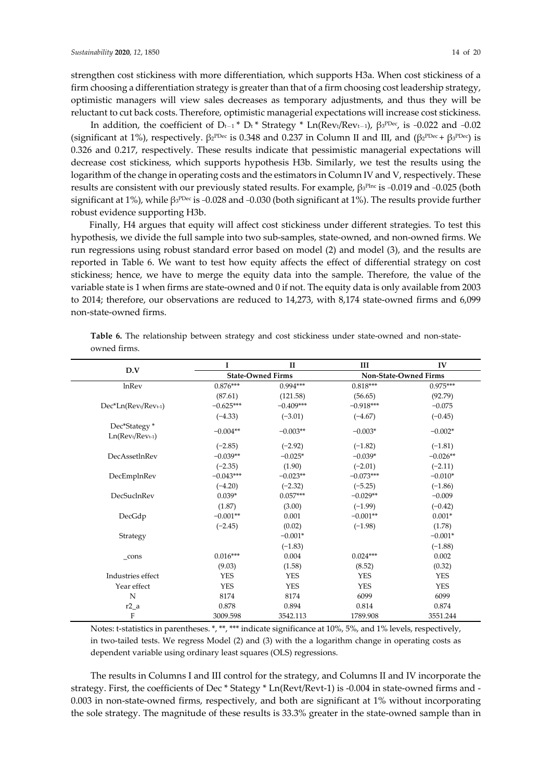strengthen cost stickiness with more differentiation, which supports H3a. When cost stickiness of a firm choosing a differentiation strategy is greater than that of a firm choosing cost leadership strategy, optimistic managers will view sales decreases as temporary adjustments, and thus they will be reluctant to cut back costs. Therefore, optimistic managerial expectations will increase cost stickiness.

In addition, the coefficient of D<sub>t-1</sub> \* D<sub>t</sub> \* Strategy \* Ln(Rev<sub>t</sub>/Rev<sub>t-1</sub>),  $\beta_3$ <sup>ppec</sup>, is -0.022 and -0.02 (significant at 1%), respectively.  $\beta_2^{\text{PDec}}$  is 0.348 and 0.237 in Column II and III, and  $(\beta_2^{\text{PDec}} + \beta_3^{\text{PDec}})$  is 0.326 and 0.217, respectively. These results indicate that pessimistic managerial expectations will decrease cost stickiness, which supports hypothesis H3b. Similarly, we test the results using the logarithm of the change in operating costs and the estimators in Column Ⅳ and Ⅴ, respectively. These results are consistent with our previously stated results. For example, β3PInc is -0.019 and -0.025 (both significant at 1%), while  $\beta_3^{\text{PDec}}$  is -0.028 and -0.030 (both significant at 1%). The results provide further robust evidence supporting H3b.

Finally, H4 argues that equity will affect cost stickiness under different strategies. To test this hypothesis, we divide the full sample into two sub-samples, state-owned, and non-owned firms. We run regressions using robust standard error based on model (2) and model (3), and the results are reported in Table 6. We want to test how equity affects the effect of differential strategy on cost stickiness; hence, we have to merge the equity data into the sample. Therefore, the value of the variable state is 1 when firms are state-owned and 0 if not. The equity data is only available from 2003 to 2014; therefore, our observations are reduced to 14,273, with 8,174 state-owned firms and 6,099 non-state-owned firms.

|                                    | I                        | $\mathbf{I}$ | Ш                     | IV         |
|------------------------------------|--------------------------|--------------|-----------------------|------------|
| D.V                                | <b>State-Owned Firms</b> |              | Non-State-Owned Firms |            |
| lnRev                              | $0.876***$               | 0.994***     | $0.818***$            | $0.975***$ |
|                                    | (87.61)                  | (121.58)     | (56.65)               | (92.79)    |
| Dec*Ln(Revt/Revt-1)                | $-0.625***$              | $-0.409***$  | $-0.918***$           | $-0.075$   |
|                                    | $(-4.33)$                | $(-3.01)$    | $(-4.67)$             | $(-0.45)$  |
| Dec*Stategy *<br>$Ln(Revt/Revt-1)$ | $-0.004**$               | $-0.003**$   | $-0.003*$             | $-0.002*$  |
|                                    | $(-2.85)$                | $(-2.92)$    | $(-1.82)$             | $(-1.81)$  |
| DecAssetInRev                      | $-0.039**$               | $-0.025*$    | $-0.039*$             | $-0.026**$ |
|                                    | $(-2.35)$                | (1.90)       | $(-2.01)$             | $(-2.11)$  |
| DecEmplnRev                        | $-0.043***$              | $-0.023**$   | $-0.073***$           | $-0.010*$  |
|                                    | $(-4.20)$                | $(-2.32)$    | $(-5.25)$             | $(-1.86)$  |
| DecSuclnRev                        | $0.039*$                 | $0.057***$   | $-0.029**$            | $-0.009$   |
|                                    | (1.87)                   | (3.00)       | $(-1.99)$             | $(-0.42)$  |
| DecGdp                             | $-0.001**$               | 0.001        | $-0.001**$            | $0.001*$   |
|                                    | $(-2.45)$                | (0.02)       | $(-1.98)$             | (1.78)     |
| Strategy                           |                          | $-0.001*$    |                       | $-0.001*$  |
|                                    |                          | $(-1.83)$    |                       | $(-1.88)$  |
| cons                               | $0.016***$               | 0.004        | $0.024***$            | 0.002      |
|                                    | (9.03)                   | (1.58)       | (8.52)                | (0.32)     |
| Industries effect                  | <b>YES</b>               | <b>YES</b>   | <b>YES</b>            | <b>YES</b> |
| Year effect                        | <b>YES</b>               | <b>YES</b>   | <b>YES</b>            | <b>YES</b> |
| $\mathbf N$                        | 8174                     | 8174         | 6099                  | 6099       |
| $r2_a$                             | 0.878                    | 0.894        | 0.814                 | 0.874      |
| $\mathbf F$                        | 3009.598                 | 3542.113     | 1789.908              | 3551.244   |

**Table 6.** The relationship between strategy and cost stickiness under state-owned and non-stateowned firms.

Notes: t-statistics in parentheses. \*, \*\*, \*\*\* indicate significance at 10%, 5%, and 1% levels, respectively, in two-tailed tests. We regress Model (2) and (3) with the a logarithm change in operating costs as dependent variable using ordinary least squares (OLS) regressions.

The results in Columns I and III control for the strategy, and Columns II and IV incorporate the strategy. First, the coefficients of Dec \* Stategy \* Ln(Revt/Revt-1) is -0.004 in state-owned firms and - 0.003 in non-state-owned firms, respectively, and both are significant at 1% without incorporating the sole strategy. The magnitude of these results is 33.3% greater in the state-owned sample than in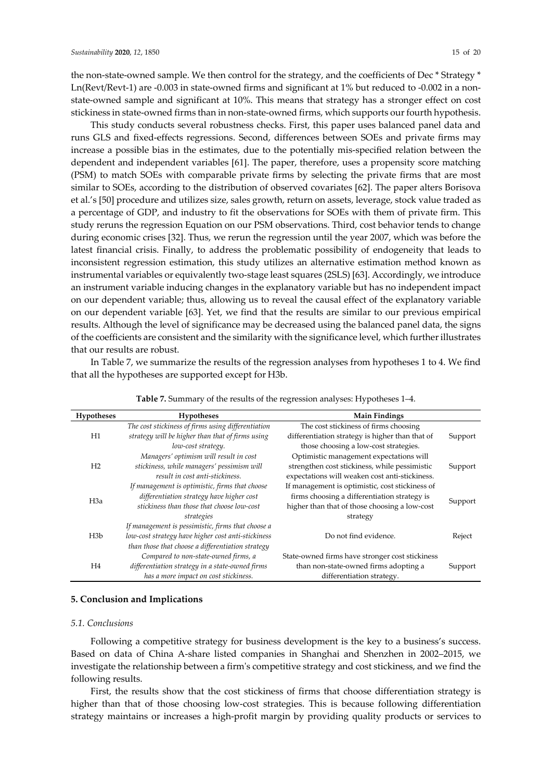the non-state-owned sample. We then control for the strategy, and the coefficients of Dec \* Strategy \* Ln(Revt/Revt-1) are -0.003 in state-owned firms and significant at 1% but reduced to -0.002 in a nonstate-owned sample and significant at 10%. This means that strategy has a stronger effect on cost stickiness in state-owned firms than in non-state-owned firms, which supports our fourth hypothesis.

This study conducts several robustness checks. First, this paper uses balanced panel data and runs GLS and fixed-effects regressions. Second, differences between SOEs and private firms may increase a possible bias in the estimates, due to the potentially mis-specified relation between the dependent and independent variables [61]. The paper, therefore, uses a propensity score matching (PSM) to match SOEs with comparable private firms by selecting the private firms that are most similar to SOEs, according to the distribution of observed covariates [62]. The paper alters Borisova et al.'s [50] procedure and utilizes size, sales growth, return on assets, leverage, stock value traded as a percentage of GDP, and industry to fit the observations for SOEs with them of private firm. This study reruns the regression Equation on our PSM observations. Third, cost behavior tends to change during economic crises [32]. Thus, we rerun the regression until the year 2007, which was before the latest financial crisis. Finally, to address the problematic possibility of endogeneity that leads to inconsistent regression estimation, this study utilizes an alternative estimation method known as instrumental variables or equivalently two-stage least squares (2SLS) [63]. Accordingly, we introduce an instrument variable inducing changes in the explanatory variable but has no independent impact on our dependent variable; thus, allowing us to reveal the causal effect of the explanatory variable on our dependent variable [63]. Yet, we find that the results are similar to our previous empirical results. Although the level of significance may be decreased using the balanced panel data, the signs of the coefficients are consistent and the similarity with the significance level, which further illustrates that our results are robust.

In Table 7, we summarize the results of the regression analyses from hypotheses 1 to 4. We find that all the hypotheses are supported except for H3b.

| <b>Hypotheses</b> | <b>Hypotheses</b>                                  | <b>Main Findings</b>                            |         |
|-------------------|----------------------------------------------------|-------------------------------------------------|---------|
|                   | The cost stickiness of firms using differentiation | The cost stickiness of firms choosing           |         |
| H1                | strategy will be higher than that of firms using   | differentiation strategy is higher than that of | Support |
|                   | low-cost strategy.                                 | those choosing a low-cost strategies.           |         |
|                   | Managers' optimism will result in cost             | Optimistic management expectations will         |         |
| H <sub>2</sub>    | stickiness, while managers' pessimism will         | strengthen cost stickiness, while pessimistic   | Support |
|                   | result in cost anti-stickiness.                    | expectations will weaken cost anti-stickiness.  |         |
|                   | If management is optimistic, firms that choose     | If management is optimistic, cost stickiness of |         |
| H <sub>3</sub> a  | differentiation strategy have higher cost          | firms choosing a differentiation strategy is    | Support |
|                   | stickiness than those that choose low-cost         | higher than that of those choosing a low-cost   |         |
|                   | strategies                                         | strategy                                        |         |
|                   | If management is pessimistic, firms that choose a  |                                                 |         |
| H3b               | low-cost strategy have higher cost anti-stickiness | Do not find evidence.                           | Reject  |
|                   | than those that choose a differentiation strategy  |                                                 |         |
|                   | Compared to non-state-owned firms, a               | State-owned firms have stronger cost stickiness |         |
| H <sub>4</sub>    | differentiation strategy in a state-owned firms    | than non-state-owned firms adopting a           | Support |
|                   | has a more impact on cost stickiness.              | differentiation strategy.                       |         |

**Table 7.** Summary of the results of the regression analyses: Hypotheses 1–4.

#### **5. Conclusion and Implications**

#### *5.1. Conclusions*

Following a competitive strategy for business development is the key to a business's success. Based on data of China A-share listed companies in Shanghai and Shenzhen in 2002–2015, we investigate the relationship between a firm's competitive strategy and cost stickiness, and we find the following results.

First, the results show that the cost stickiness of firms that choose differentiation strategy is higher than that of those choosing low-cost strategies. This is because following differentiation strategy maintains or increases a high-profit margin by providing quality products or services to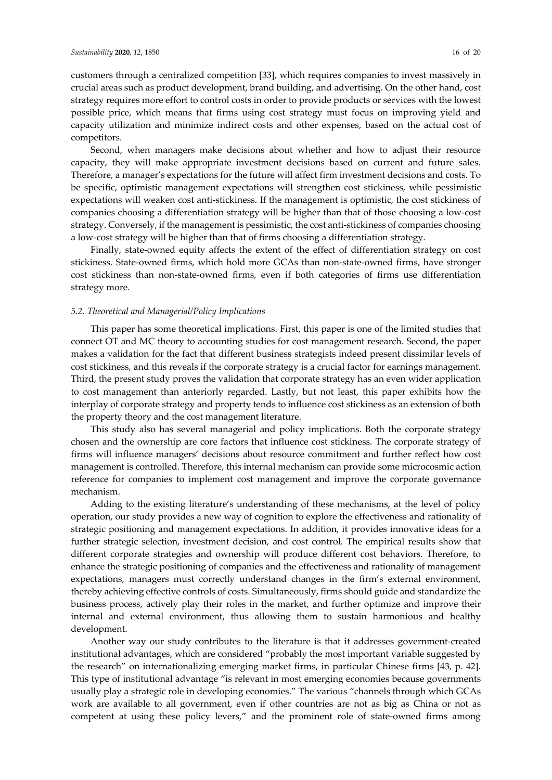customers through a centralized competition [33], which requires companies to invest massively in crucial areas such as product development, brand building, and advertising. On the other hand, cost strategy requires more effort to control costs in order to provide products or services with the lowest possible price, which means that firms using cost strategy must focus on improving yield and capacity utilization and minimize indirect costs and other expenses, based on the actual cost of competitors.

Second, when managers make decisions about whether and how to adjust their resource capacity, they will make appropriate investment decisions based on current and future sales. Therefore, a manager's expectations for the future will affect firm investment decisions and costs. To be specific, optimistic management expectations will strengthen cost stickiness, while pessimistic expectations will weaken cost anti-stickiness. If the management is optimistic, the cost stickiness of companies choosing a differentiation strategy will be higher than that of those choosing a low-cost strategy. Conversely, if the management is pessimistic, the cost anti-stickiness of companies choosing a low-cost strategy will be higher than that of firms choosing a differentiation strategy.

Finally, state-owned equity affects the extent of the effect of differentiation strategy on cost stickiness. State-owned firms, which hold more GCAs than non-state-owned firms, have stronger cost stickiness than non-state-owned firms, even if both categories of firms use differentiation strategy more.

#### *5.2. Theoretical and Managerial/Policy Implications*

This paper has some theoretical implications. First, this paper is one of the limited studies that connect OT and MC theory to accounting studies for cost management research. Second, the paper makes a validation for the fact that different business strategists indeed present dissimilar levels of cost stickiness, and this reveals if the corporate strategy is a crucial factor for earnings management. Third, the present study proves the validation that corporate strategy has an even wider application to cost management than anteriorly regarded. Lastly, but not least, this paper exhibits how the interplay of corporate strategy and property tends to influence cost stickiness as an extension of both the property theory and the cost management literature.

This study also has several managerial and policy implications. Both the corporate strategy chosen and the ownership are core factors that influence cost stickiness. The corporate strategy of firms will influence managers' decisions about resource commitment and further reflect how cost management is controlled. Therefore, this internal mechanism can provide some microcosmic action reference for companies to implement cost management and improve the corporate governance mechanism.

Adding to the existing literature's understanding of these mechanisms, at the level of policy operation, our study provides a new way of cognition to explore the effectiveness and rationality of strategic positioning and management expectations. In addition, it provides innovative ideas for a further strategic selection, investment decision, and cost control. The empirical results show that different corporate strategies and ownership will produce different cost behaviors. Therefore, to enhance the strategic positioning of companies and the effectiveness and rationality of management expectations, managers must correctly understand changes in the firm's external environment, thereby achieving effective controls of costs. Simultaneously, firms should guide and standardize the business process, actively play their roles in the market, and further optimize and improve their internal and external environment, thus allowing them to sustain harmonious and healthy development.

Another way our study contributes to the literature is that it addresses government-created institutional advantages, which are considered "probably the most important variable suggested by the research" on internationalizing emerging market firms, in particular Chinese firms [43, p. 42]. This type of institutional advantage "is relevant in most emerging economies because governments usually play a strategic role in developing economies." The various "channels through which GCAs work are available to all government, even if other countries are not as big as China or not as competent at using these policy levers," and the prominent role of state-owned firms among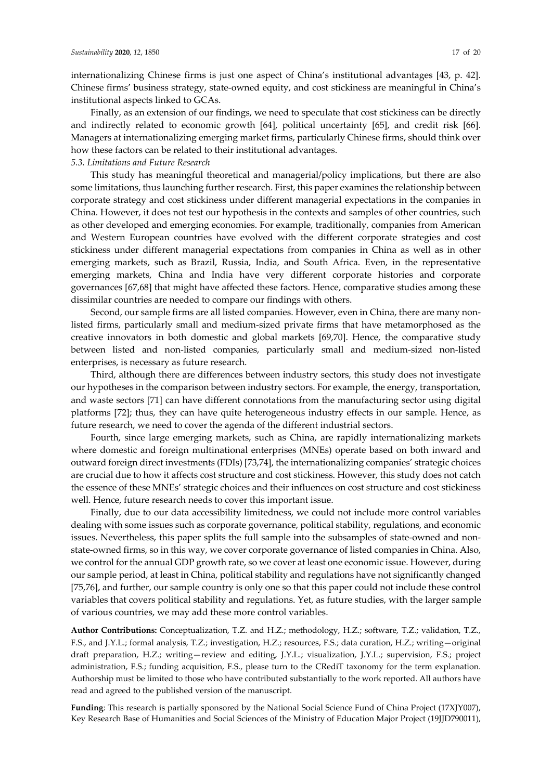internationalizing Chinese firms is just one aspect of China's institutional advantages [43, p. 42]. Chinese firms' business strategy, state-owned equity, and cost stickiness are meaningful in China's institutional aspects linked to GCAs.

Finally, as an extension of our findings, we need to speculate that cost stickiness can be directly and indirectly related to economic growth [64], political uncertainty [65], and credit risk [66]. Managers at internationalizing emerging market firms, particularly Chinese firms, should think over how these factors can be related to their institutional advantages.

## *5.3. Limitations and Future Research*

This study has meaningful theoretical and managerial/policy implications, but there are also some limitations, thus launching further research. First, this paper examines the relationship between corporate strategy and cost stickiness under different managerial expectations in the companies in China. However, it does not test our hypothesis in the contexts and samples of other countries, such as other developed and emerging economies. For example, traditionally, companies from American and Western European countries have evolved with the different corporate strategies and cost stickiness under different managerial expectations from companies in China as well as in other emerging markets, such as Brazil, Russia, India, and South Africa. Even, in the representative emerging markets, China and India have very different corporate histories and corporate governances [67,68] that might have affected these factors. Hence, comparative studies among these dissimilar countries are needed to compare our findings with others.

Second, our sample firms are all listed companies. However, even in China, there are many nonlisted firms, particularly small and medium-sized private firms that have metamorphosed as the creative innovators in both domestic and global markets [69,70]. Hence, the comparative study between listed and non-listed companies, particularly small and medium-sized non-listed enterprises, is necessary as future research.

Third, although there are differences between industry sectors, this study does not investigate our hypotheses in the comparison between industry sectors. For example, the energy, transportation, and waste sectors [71] can have different connotations from the manufacturing sector using digital platforms [72]; thus, they can have quite heterogeneous industry effects in our sample. Hence, as future research, we need to cover the agenda of the different industrial sectors.

Fourth, since large emerging markets, such as China, are rapidly internationalizing markets where domestic and foreign multinational enterprises (MNEs) operate based on both inward and outward foreign direct investments (FDIs) [73,74], the internationalizing companies' strategic choices are crucial due to how it affects cost structure and cost stickiness. However, this study does not catch the essence of these MNEs' strategic choices and their influences on cost structure and cost stickiness well. Hence, future research needs to cover this important issue.

Finally, due to our data accessibility limitedness, we could not include more control variables dealing with some issues such as corporate governance, political stability, regulations, and economic issues. Nevertheless, this paper splits the full sample into the subsamples of state-owned and nonstate-owned firms, so in this way, we cover corporate governance of listed companies in China. Also, we control for the annual GDP growth rate, so we cover at least one economic issue. However, during our sample period, at least in China, political stability and regulations have not significantly changed [75,76], and further, our sample country is only one so that this paper could not include these control variables that covers political stability and regulations. Yet, as future studies, with the larger sample of various countries, we may add these more control variables.

**Author Contributions:** Conceptualization, T.Z. and H.Z.; methodology, H.Z.; software, T.Z.; validation, T.Z., F.S., and J.Y.L.; formal analysis, T.Z.; investigation, H.Z.; resources, F.S.; data curation, H.Z.; writing—original draft preparation, H.Z.; writing—review and editing, J.Y.L.; visualization, J.Y.L.; supervision, F.S.; project administration, F.S.; funding acquisition, F.S., please turn to the CRediT taxonomy for the term explanation. Authorship must be limited to those who have contributed substantially to the work reported. All authors have read and agreed to the published version of the manuscript.

**Funding**: This research is partially sponsored by the National Social Science Fund of China Project (17XJY007), Key Research Base of Humanities and Social Sciences of the Ministry of Education Major Project (19JJD790011),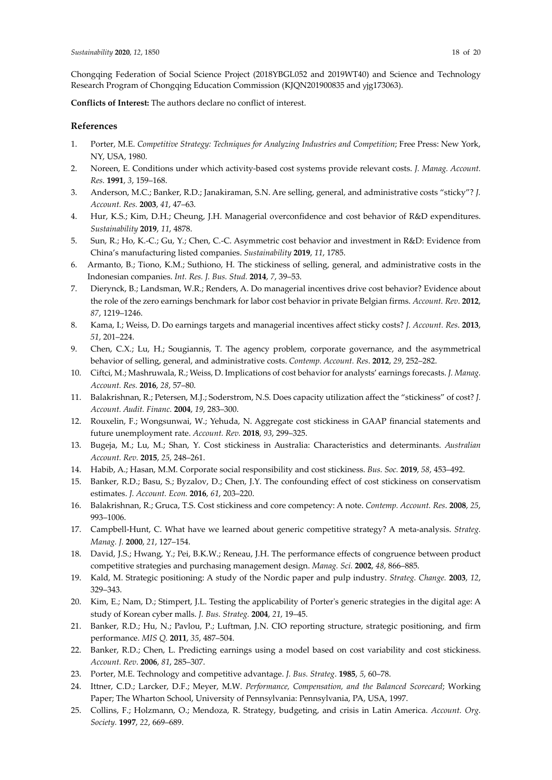Chongqing Federation of Social Science Project (2018YBGL052 and 2019WT40) and Science and Technology Research Program of Chongqing Education Commission (KJQN201900835 and yjg173063).

**Conflicts of Interest:** The authors declare no conflict of interest.

#### **References**

- 1. Porter, M.E. *Competitive Strategy: Techniques for Analyzing Industries and Competition*; Free Press: New York, NY, USA, 1980.
- 2. Noreen, E. Conditions under which activity-based cost systems provide relevant costs. *J. Manag. Account. Res.* **1991**, *3*, 159–168.
- 3. Anderson, M.C.; Banker, R.D.; Janakiraman, S.N. Are selling, general, and administrative costs "sticky"? *J. Account. Res.* **2003**, *41*, 47–63.
- 4. Hur, K.S.; Kim, D.H.; Cheung, J.H. Managerial overconfidence and cost behavior of R&D expenditures. *Sustainability* **2019**, *11*, 4878.
- 5. Sun, R.; Ho, K.-C.; Gu, Y.; Chen, C.-C. Asymmetric cost behavior and investment in R&D: Evidence from China's manufacturing listed companies. *Sustainability* **2019**, *11*, 1785.
- 6. Armanto, B.; Tiono, K.M.; Suthiono, H. The stickiness of selling, general, and administrative costs in the Indonesian companies. *Int. Res. J. Bus. Stud.* **2014**, *7*, 39–53.
- 7. Dierynck, B.; Landsman, W.R.; Renders, A. Do managerial incentives drive cost behavior? Evidence about the role of the zero earnings benchmark for labor cost behavior in private Belgian firms. *Account. Rev*. **2012**, *87*, 1219–1246.
- 8. Kama, I.; Weiss, D. Do earnings targets and managerial incentives affect sticky costs? *J. Account. Res*. **2013**, *51*, 201–224.
- 9. Chen, C.X.; Lu, H.; Sougiannis, T. The agency problem, corporate governance, and the asymmetrical behavior of selling, general, and administrative costs. *Contemp. Account. Res*. **2012**, *29*, 252–282.
- 10. Ciftci, M.; Mashruwala, R.; Weiss, D. Implications of cost behavior for analysts' earnings forecasts. *J. Manag. Account. Res.* **2016**, *28*, 57–80.
- 11. Balakrishnan, R.; Petersen, M.J.; Soderstrom, N.S. Does capacity utilization affect the "stickiness" of cost? *J. Account. Audit. Financ.* **2004**, *19*, 283–300.
- 12. Rouxelin, F.; Wongsunwai, W.; Yehuda, N. Aggregate cost stickiness in GAAP financial statements and future unemployment rate. *Account. Rev.* **2018**, *93*, 299–325.
- 13. Bugeja, M.; Lu, M.; Shan, Y. Cost stickiness in Australia: Characteristics and determinants. *Australian Account. Rev.* **2015**, *25*, 248–261.
- 14. Habib, A.; Hasan, M.M. Corporate social responsibility and cost stickiness. *Bus. Soc.* **2019**, *58*, 453–492.
- 15. Banker, R.D.; Basu, S.; Byzalov, D.; Chen, J.Y. The confounding effect of cost stickiness on conservatism estimates. *J. Account. Econ.* **2016**, *61*, 203–220.
- 16. Balakrishnan, R.; Gruca, T.S. Cost stickiness and core competency: A note. *Contemp. Account. Res*. **2008**, *25*, 993–1006.
- 17. Campbell-Hunt, C. What have we learned about generic competitive strategy? A meta-analysis. *Strateg. Manag. J.* **2000**, *21*, 127–154.
- 18. David, J.S.; Hwang, Y.; Pei, B.K.W.; Reneau, J.H. The performance effects of congruence between product competitive strategies and purchasing management design. *Manag. Sci.* **2002**, *48*, 866–885.
- 19. Kald, M. Strategic positioning: A study of the Nordic paper and pulp industry. *Strateg. Change.* **2003**, *12*, 329–343.
- 20. Kim, E.; Nam, D.; Stimpert, J.L. Testing the applicability of Porter's generic strategies in the digital age: A study of Korean cyber malls. *J. Bus. Strateg.* **2004**, *21*, 19–45.
- 21. Banker, R.D.; Hu, N.; Pavlou, P.; Luftman, J.N. CIO reporting structure, strategic positioning, and firm performance. *MIS Q.* **2011**, *35*, 487–504.
- 22. Banker, R.D.; Chen, L. Predicting earnings using a model based on cost variability and cost stickiness. *Account. Rev*. **2006**, *81*, 285–307.
- 23. Porter, M.E. Technology and competitive advantage. *J. Bus. Strateg*. **1985**, *5*, 60–78.
- 24. Ittner, C.D.; Larcker, D.F.; Meyer, M.W. *Performance, Compensation, and the Balanced Scorecard*; Working Paper; The Wharton School, University of Pennsylvania: Pennsylvania, PA, USA, 1997.
- 25. Collins, F.; Holzmann, O.; Mendoza, R. Strategy, budgeting, and crisis in Latin America. *Account. Org. Society.* **1997**, *22*, 669–689.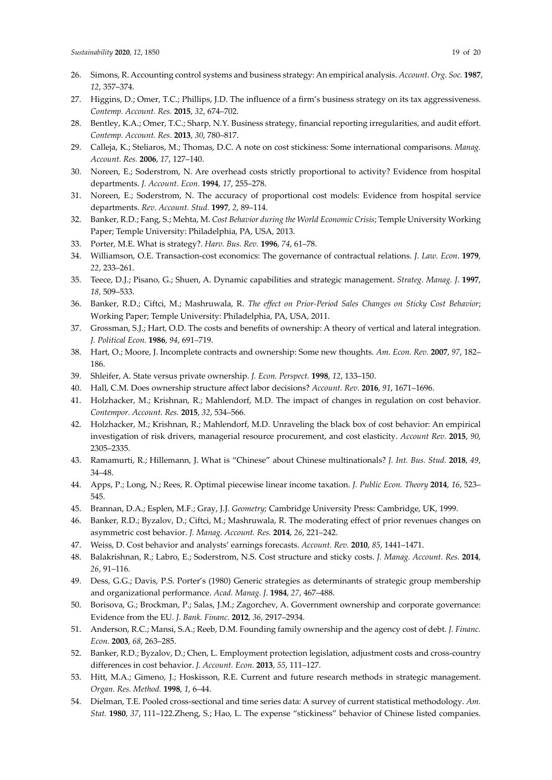- 26. Simons, R. Accounting control systems and business strategy: An empirical analysis. *Account. Org. Soc.* **1987**, *12*, 357–374.
- 27. Higgins, D.; Omer, T.C.; Phillips, J.D. The influence of a firm's business strategy on its tax aggressiveness. *Contemp. Account. Res.* **2015**, *32*, 674–702.
- 28. Bentley, K.A.; Omer, T.C.; Sharp, N.Y. Business strategy, financial reporting irregularities, and audit effort. *Contemp. Account. Res*. **2013**, *30*, 780–817.
- 29. Calleja, K.; Steliaros, M.; Thomas, D.C. A note on cost stickiness: Some international comparisons. *Manag. Account. Res.* **2006**, *17*, 127–140.
- 30. Noreen, E.; Soderstrom, N. Are overhead costs strictly proportional to activity? Evidence from hospital departments. *J. Account. Econ.* **1994**, *17*, 255–278.
- 31. Noreen, E.; Soderstrom, N. The accuracy of proportional cost models: Evidence from hospital service departments. *Rev. Account. Stud.* **1997**, *2*, 89–114.
- 32. Banker, R.D.; Fang, S.; Mehta, M. *Cost Behavior during the World Economic Crisis*; Temple University Working Paper; Temple University: Philadelphia, PA, USA, 2013.
- 33. Porter, M.E. What is strategy?. *Harv. Bus. Rev.* **1996**, *74*, 61–78.
- 34. Williamson, O.E. Transaction-cost economics: The governance of contractual relations. *J. Law. Econ*. **1979**, *22*, 233–261.
- 35. Teece, D.J.; Pisano, G.; Shuen, A. Dynamic capabilities and strategic management. *Strateg. Manag. J*. **1997**, *18,* 509–533.
- 36. Banker, R.D.; Ciftci, M.; Mashruwala, R. *The effect on Prior-Period Sales Changes on Sticky Cost Behavior*; Working Paper; Temple University: Philadelphia, PA, USA, 2011.
- 37. Grossman, S.J.; Hart, O.D. The costs and benefits of ownership: A theory of vertical and lateral integration. *J. Political Econ.* **1986**, *94*, 691–719.
- 38. Hart, O.; Moore, J. Incomplete contracts and ownership: Some new thoughts. *Am. Econ. Rev.* **2007**, *97*, 182– 186.
- 39. Shleifer, A. State versus private ownership. *J. Econ. Perspect.* **1998**, *12*, 133–150.
- 40. Hall, C.M. Does ownership structure affect labor decisions? *Account. Rev.* **2016**, *91*, 1671–1696.
- 41. Holzhacker, M.; Krishnan, R.; Mahlendorf, M.D. The impact of changes in regulation on cost behavior. *Contempor. Account. Res.* **2015**, *32*, 534–566.
- 42. Holzhacker, M.; Krishnan, R.; Mahlendorf, M.D. Unraveling the black box of cost behavior: An empirical investigation of risk drivers, managerial resource procurement, and cost elasticity. *Account Rev.* **2015**, *90*, 2305–2335.
- 43. Ramamurti, R.; Hillemann, J. What is "Chinese" about Chinese multinationals? *J. Int. Bus. Stud.* **2018**, *49*, 34–48.
- 44. Apps, P.; Long, N.; Rees, R. Optimal piecewise linear income taxation. *J. Public Econ. Theory* **2014**, *16*, 523– 545.
- 45. Brannan, D.A.; Esplen, M.F.; Gray, J.J. *Geometry;* Cambridge University Press: Cambridge, UK, 1999.
- 46. Banker, R.D.; Byzalov, D.; Ciftci, M.; Mashruwala, R. The moderating effect of prior revenues changes on asymmetric cost behavior. *J. Manag. Account. Res.* **2014**, *26*, 221–242.
- 47. Weiss, D. Cost behavior and analysts' earnings forecasts. *Account. Rev.* **2010**, *85*, 1441–1471.
- 48. Balakrishnan, R.; Labro, E.; Soderstrom, N.S. Cost structure and sticky costs. *J. Manag. Account. Res.* **2014**, *26*, 91–116.
- 49. Dess, G.G.; Davis, P.S. Porter's (1980) Generic strategies as determinants of strategic group membership and organizational performance. *Acad. Manag. J*. **1984**, *27*, 467–488.
- 50. Borisova, G.; Brockman, P.; Salas, J.M.; Zagorchev, A. Government ownership and corporate governance: Evidence from the EU. *J. Bank. Financ.* **2012**, *36*, 2917–2934.
- 51. Anderson, R.C.; Mansi, S.A.; Reeb, D.M. Founding family ownership and the agency cost of debt. *J. Financ. Econ.* **2003**, *68*, 263–285.
- 52. Banker, R.D.; Byzalov, D.; Chen, L. Employment protection legislation, adjustment costs and cross-country differences in cost behavior. *J. Account. Econ.* **2013**, *55*, 111–127.
- 53. Hitt, M.A.; Gimeno, J.; Hoskisson, R.E. Current and future research methods in strategic management. *Organ. Res. Method.* **1998**, *1*, 6–44.
- 54. Dielman, T.E. Pooled cross-sectional and time series data: A survey of current statistical methodology. *Am. Stat.* **1980**, *37*, 111–122.Zheng, S.; Hao, L. The expense "stickiness" behavior of Chinese listed companies.